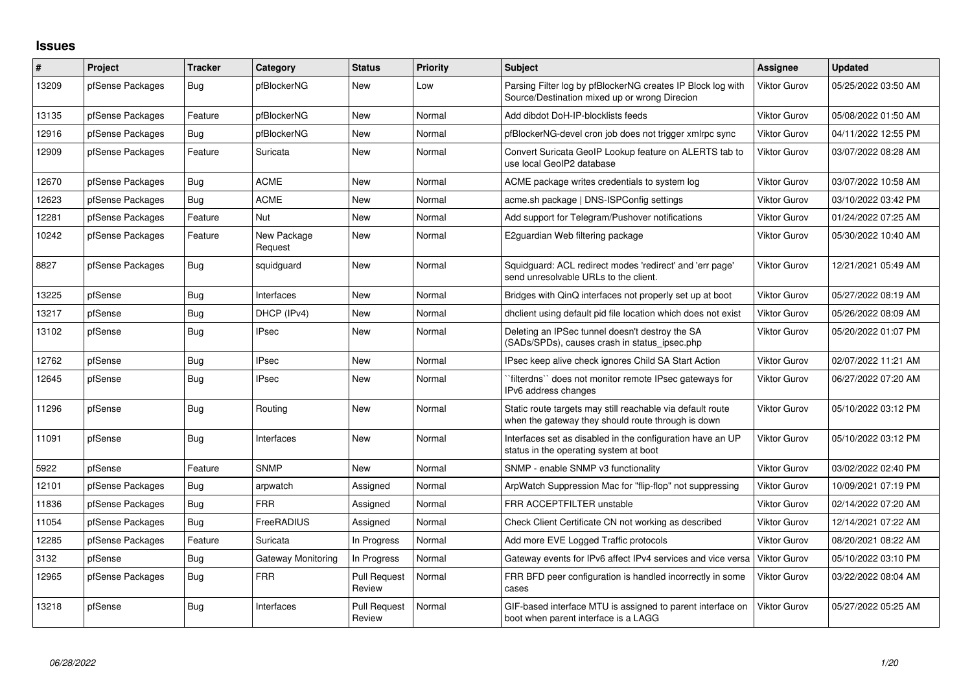## **Issues**

| $\vert$ # | Project          | <b>Tracker</b> | Category               | <b>Status</b>                 | <b>Priority</b> | <b>Subject</b>                                                                                                   | <b>Assignee</b>     | <b>Updated</b>      |
|-----------|------------------|----------------|------------------------|-------------------------------|-----------------|------------------------------------------------------------------------------------------------------------------|---------------------|---------------------|
| 13209     | pfSense Packages | <b>Bug</b>     | pfBlockerNG            | New                           | Low             | Parsing Filter log by pfBlockerNG creates IP Block log with<br>Source/Destination mixed up or wrong Direcion     | Viktor Gurov        | 05/25/2022 03:50 AM |
| 13135     | pfSense Packages | Feature        | pfBlockerNG            | <b>New</b>                    | Normal          | Add dibdot DoH-IP-blocklists feeds                                                                               | <b>Viktor Gurov</b> | 05/08/2022 01:50 AM |
| 12916     | pfSense Packages | <b>Bug</b>     | pfBlockerNG            | New                           | Normal          | pfBlockerNG-devel cron job does not trigger xmlrpc sync                                                          | <b>Viktor Gurov</b> | 04/11/2022 12:55 PM |
| 12909     | pfSense Packages | Feature        | Suricata               | <b>New</b>                    | Normal          | Convert Suricata GeoIP Lookup feature on ALERTS tab to<br>use local GeoIP2 database                              | Viktor Gurov        | 03/07/2022 08:28 AM |
| 12670     | pfSense Packages | Bug            | <b>ACME</b>            | <b>New</b>                    | Normal          | ACME package writes credentials to system log                                                                    | <b>Viktor Gurov</b> | 03/07/2022 10:58 AM |
| 12623     | pfSense Packages | Bug            | <b>ACME</b>            | New                           | Normal          | acme.sh package   DNS-ISPConfig settings                                                                         | Viktor Gurov        | 03/10/2022 03:42 PM |
| 12281     | pfSense Packages | Feature        | <b>Nut</b>             | <b>New</b>                    | Normal          | Add support for Telegram/Pushover notifications                                                                  | <b>Viktor Gurov</b> | 01/24/2022 07:25 AM |
| 10242     | pfSense Packages | Feature        | New Package<br>Request | <b>New</b>                    | Normal          | E2guardian Web filtering package                                                                                 | Viktor Gurov        | 05/30/2022 10:40 AM |
| 8827      | pfSense Packages | Bug            | squidguard             | <b>New</b>                    | Normal          | Squidguard: ACL redirect modes 'redirect' and 'err page'<br>send unresolvable URLs to the client.                | <b>Viktor Gurov</b> | 12/21/2021 05:49 AM |
| 13225     | pfSense          | Bug            | Interfaces             | New                           | Normal          | Bridges with QinQ interfaces not properly set up at boot                                                         | Viktor Gurov        | 05/27/2022 08:19 AM |
| 13217     | pfSense          | Bug            | DHCP (IPv4)            | New                           | Normal          | dhclient using default pid file location which does not exist                                                    | <b>Viktor Gurov</b> | 05/26/2022 08:09 AM |
| 13102     | pfSense          | Bug            | <b>IPsec</b>           | New                           | Normal          | Deleting an IPSec tunnel doesn't destroy the SA<br>(SADs/SPDs), causes crash in status_ipsec.php                 | Viktor Gurov        | 05/20/2022 01:07 PM |
| 12762     | pfSense          | Bug            | <b>IPsec</b>           | New                           | Normal          | IPsec keep alive check ignores Child SA Start Action                                                             | Viktor Gurov        | 02/07/2022 11:21 AM |
| 12645     | pfSense          | Bug            | <b>IPsec</b>           | New                           | Normal          | `filterdns`` does not monitor remote IPsec gateways for<br>IPv6 address changes                                  | <b>Viktor Gurov</b> | 06/27/2022 07:20 AM |
| 11296     | pfSense          | Bug            | Routing                | <b>New</b>                    | Normal          | Static route targets may still reachable via default route<br>when the gateway they should route through is down | <b>Viktor Gurov</b> | 05/10/2022 03:12 PM |
| 11091     | pfSense          | Bug            | Interfaces             | New                           | Normal          | Interfaces set as disabled in the configuration have an UP<br>status in the operating system at boot             | Viktor Gurov        | 05/10/2022 03:12 PM |
| 5922      | pfSense          | Feature        | <b>SNMP</b>            | <b>New</b>                    | Normal          | SNMP - enable SNMP v3 functionality                                                                              | <b>Viktor Gurov</b> | 03/02/2022 02:40 PM |
| 12101     | pfSense Packages | <b>Bug</b>     | arpwatch               | Assigned                      | Normal          | ArpWatch Suppression Mac for "flip-flop" not suppressing                                                         | Viktor Gurov        | 10/09/2021 07:19 PM |
| 11836     | pfSense Packages | Bug            | <b>FRR</b>             | Assigned                      | Normal          | <b>FRR ACCEPTFILTER unstable</b>                                                                                 | <b>Viktor Gurov</b> | 02/14/2022 07:20 AM |
| 11054     | pfSense Packages | Bug            | FreeRADIUS             | Assigned                      | Normal          | Check Client Certificate CN not working as described                                                             | Viktor Gurov        | 12/14/2021 07:22 AM |
| 12285     | pfSense Packages | Feature        | Suricata               | In Progress                   | Normal          | Add more EVE Logged Traffic protocols                                                                            | <b>Viktor Gurov</b> | 08/20/2021 08:22 AM |
| 3132      | pfSense          | <b>Bug</b>     | Gateway Monitoring     | In Progress                   | Normal          | Gateway events for IPv6 affect IPv4 services and vice versa                                                      | Viktor Gurov        | 05/10/2022 03:10 PM |
| 12965     | pfSense Packages | Bug            | <b>FRR</b>             | <b>Pull Request</b><br>Review | Normal          | FRR BFD peer configuration is handled incorrectly in some<br>cases                                               | Viktor Gurov        | 03/22/2022 08:04 AM |
| 13218     | pfSense          | Bug            | Interfaces             | <b>Pull Request</b><br>Review | Normal          | GIF-based interface MTU is assigned to parent interface on<br>boot when parent interface is a LAGG               | <b>Viktor Gurov</b> | 05/27/2022 05:25 AM |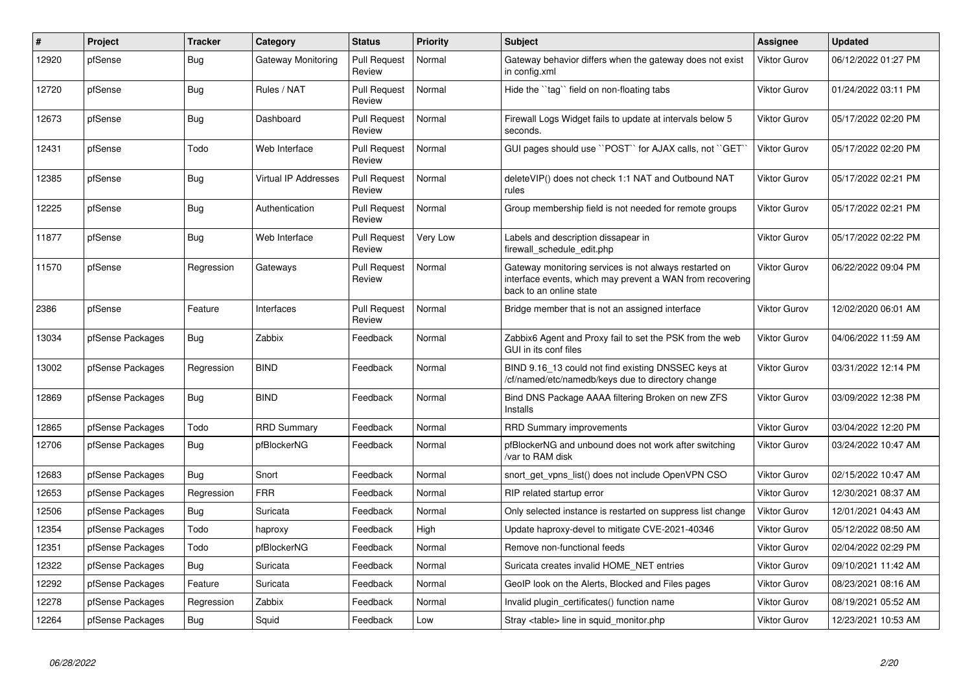| #     | Project          | <b>Tracker</b> | Category                    | <b>Status</b>                 | <b>Priority</b> | <b>Subject</b>                                                                                                                                 | <b>Assignee</b>     | <b>Updated</b>      |
|-------|------------------|----------------|-----------------------------|-------------------------------|-----------------|------------------------------------------------------------------------------------------------------------------------------------------------|---------------------|---------------------|
| 12920 | pfSense          | Bug            | Gateway Monitoring          | Pull Request<br>Review        | Normal          | Gateway behavior differs when the gateway does not exist<br>in config.xml                                                                      | <b>Viktor Gurov</b> | 06/12/2022 01:27 PM |
| 12720 | pfSense          | Bug            | Rules / NAT                 | <b>Pull Request</b><br>Review | Normal          | Hide the "tag" field on non-floating tabs                                                                                                      | <b>Viktor Gurov</b> | 01/24/2022 03:11 PM |
| 12673 | pfSense          | <b>Bug</b>     | Dashboard                   | Pull Request<br>Review        | Normal          | Firewall Logs Widget fails to update at intervals below 5<br>seconds.                                                                          | <b>Viktor Gurov</b> | 05/17/2022 02:20 PM |
| 12431 | pfSense          | Todo           | Web Interface               | <b>Pull Request</b><br>Review | Normal          | GUI pages should use "POST" for AJAX calls, not "GET"                                                                                          | <b>Viktor Gurov</b> | 05/17/2022 02:20 PM |
| 12385 | pfSense          | <b>Bug</b>     | <b>Virtual IP Addresses</b> | <b>Pull Request</b><br>Review | Normal          | deleteVIP() does not check 1:1 NAT and Outbound NAT<br>rules                                                                                   | <b>Viktor Gurov</b> | 05/17/2022 02:21 PM |
| 12225 | pfSense          | <b>Bug</b>     | Authentication              | <b>Pull Request</b><br>Review | Normal          | Group membership field is not needed for remote groups                                                                                         | Viktor Gurov        | 05/17/2022 02:21 PM |
| 11877 | pfSense          | <b>Bug</b>     | Web Interface               | <b>Pull Request</b><br>Review | Very Low        | Labels and description dissapear in<br>firewall schedule edit.php                                                                              | <b>Viktor Gurov</b> | 05/17/2022 02:22 PM |
| 11570 | pfSense          | Regression     | Gateways                    | <b>Pull Request</b><br>Review | Normal          | Gateway monitoring services is not always restarted on<br>interface events, which may prevent a WAN from recovering<br>back to an online state | <b>Viktor Gurov</b> | 06/22/2022 09:04 PM |
| 2386  | pfSense          | Feature        | Interfaces                  | <b>Pull Request</b><br>Review | Normal          | Bridge member that is not an assigned interface                                                                                                | <b>Viktor Gurov</b> | 12/02/2020 06:01 AM |
| 13034 | pfSense Packages | Bug            | Zabbix                      | Feedback                      | Normal          | Zabbix6 Agent and Proxy fail to set the PSK from the web<br>GUI in its conf files                                                              | <b>Viktor Gurov</b> | 04/06/2022 11:59 AM |
| 13002 | pfSense Packages | Regression     | <b>BIND</b>                 | Feedback                      | Normal          | BIND 9.16 13 could not find existing DNSSEC keys at<br>/cf/named/etc/namedb/keys due to directory change                                       | Viktor Gurov        | 03/31/2022 12:14 PM |
| 12869 | pfSense Packages | <b>Bug</b>     | <b>BIND</b>                 | Feedback                      | Normal          | Bind DNS Package AAAA filtering Broken on new ZFS<br>Installs                                                                                  | <b>Viktor Gurov</b> | 03/09/2022 12:38 PM |
| 12865 | pfSense Packages | Todo           | <b>RRD Summary</b>          | Feedback                      | Normal          | <b>RRD Summary improvements</b>                                                                                                                | <b>Viktor Gurov</b> | 03/04/2022 12:20 PM |
| 12706 | pfSense Packages | Bug            | pfBlockerNG                 | Feedback                      | Normal          | pfBlockerNG and unbound does not work after switching<br>/var to RAM disk                                                                      | <b>Viktor Gurov</b> | 03/24/2022 10:47 AM |
| 12683 | pfSense Packages | Bug            | Snort                       | Feedback                      | Normal          | snort get vpns list() does not include OpenVPN CSO                                                                                             | <b>Viktor Gurov</b> | 02/15/2022 10:47 AM |
| 12653 | pfSense Packages | Regression     | <b>FRR</b>                  | Feedback                      | Normal          | RIP related startup error                                                                                                                      | <b>Viktor Gurov</b> | 12/30/2021 08:37 AM |
| 12506 | pfSense Packages | Bug            | Suricata                    | Feedback                      | Normal          | Only selected instance is restarted on suppress list change                                                                                    | <b>Viktor Gurov</b> | 12/01/2021 04:43 AM |
| 12354 | pfSense Packages | Todo           | haproxy                     | Feedback                      | High            | Update haproxy-devel to mitigate CVE-2021-40346                                                                                                | <b>Viktor Gurov</b> | 05/12/2022 08:50 AM |
| 12351 | pfSense Packages | Todo           | pfBlockerNG                 | Feedback                      | Normal          | Remove non-functional feeds                                                                                                                    | <b>Viktor Gurov</b> | 02/04/2022 02:29 PM |
| 12322 | pfSense Packages | Bug            | Suricata                    | Feedback                      | Normal          | Suricata creates invalid HOME NET entries                                                                                                      | <b>Viktor Gurov</b> | 09/10/2021 11:42 AM |
| 12292 | pfSense Packages | Feature        | Suricata                    | Feedback                      | Normal          | GeoIP look on the Alerts, Blocked and Files pages                                                                                              | Viktor Gurov        | 08/23/2021 08:16 AM |
| 12278 | pfSense Packages | Regression     | Zabbix                      | Feedback                      | Normal          | Invalid plugin_certificates() function name                                                                                                    | <b>Viktor Gurov</b> | 08/19/2021 05:52 AM |
| 12264 | pfSense Packages | Bug            | Squid                       | Feedback                      | Low             | Stray <table> line in squid monitor.php</table>                                                                                                | <b>Viktor Gurov</b> | 12/23/2021 10:53 AM |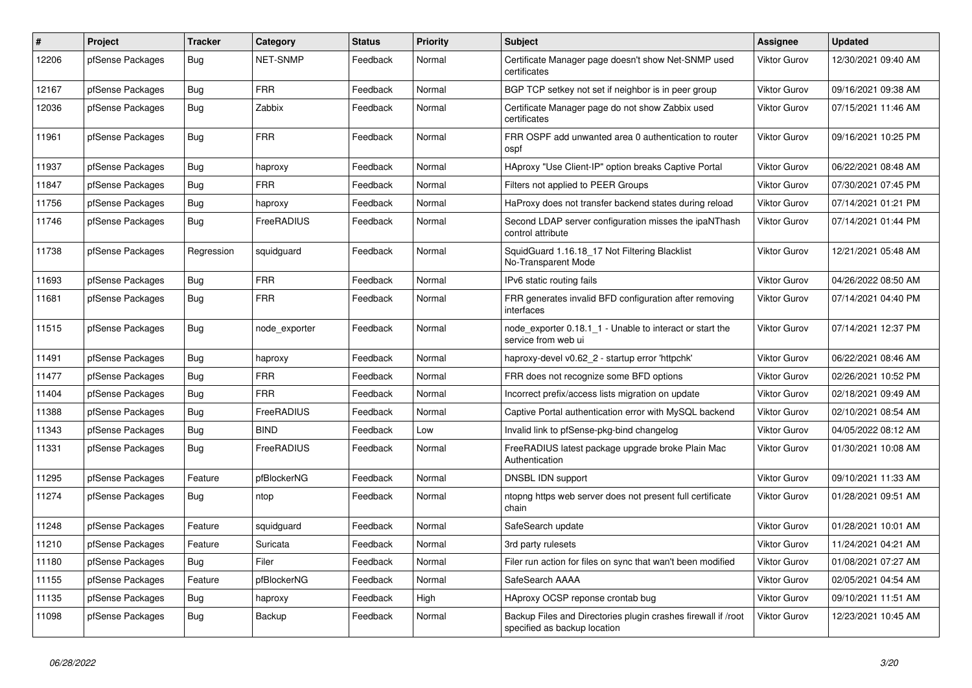| #     | <b>Project</b>   | <b>Tracker</b> | Category        | <b>Status</b> | <b>Priority</b> | <b>Subject</b>                                                                                | <b>Assignee</b>     | <b>Updated</b>      |
|-------|------------------|----------------|-----------------|---------------|-----------------|-----------------------------------------------------------------------------------------------|---------------------|---------------------|
| 12206 | pfSense Packages | Bug            | <b>NET-SNMP</b> | Feedback      | Normal          | Certificate Manager page doesn't show Net-SNMP used<br>certificates                           | <b>Viktor Gurov</b> | 12/30/2021 09:40 AM |
| 12167 | pfSense Packages | <b>Bug</b>     | <b>FRR</b>      | Feedback      | Normal          | BGP TCP setkey not set if neighbor is in peer group                                           | Viktor Gurov        | 09/16/2021 09:38 AM |
| 12036 | pfSense Packages | Bug            | Zabbix          | Feedback      | Normal          | Certificate Manager page do not show Zabbix used<br>certificates                              | <b>Viktor Gurov</b> | 07/15/2021 11:46 AM |
| 11961 | pfSense Packages | Bug            | <b>FRR</b>      | Feedback      | Normal          | FRR OSPF add unwanted area 0 authentication to router<br>ospf                                 | <b>Viktor Gurov</b> | 09/16/2021 10:25 PM |
| 11937 | pfSense Packages | Bug            | haproxy         | Feedback      | Normal          | HAproxy "Use Client-IP" option breaks Captive Portal                                          | <b>Viktor Gurov</b> | 06/22/2021 08:48 AM |
| 11847 | pfSense Packages | Bug            | <b>FRR</b>      | Feedback      | Normal          | Filters not applied to PEER Groups                                                            | <b>Viktor Gurov</b> | 07/30/2021 07:45 PM |
| 11756 | pfSense Packages | <b>Bug</b>     | haproxy         | Feedback      | Normal          | HaProxy does not transfer backend states during reload                                        | <b>Viktor Gurov</b> | 07/14/2021 01:21 PM |
| 11746 | pfSense Packages | <b>Bug</b>     | FreeRADIUS      | Feedback      | Normal          | Second LDAP server configuration misses the ipaNThash<br>control attribute                    | <b>Viktor Gurov</b> | 07/14/2021 01:44 PM |
| 11738 | pfSense Packages | Regression     | squidguard      | Feedback      | Normal          | SquidGuard 1.16.18 17 Not Filtering Blacklist<br>No-Transparent Mode                          | Viktor Gurov        | 12/21/2021 05:48 AM |
| 11693 | pfSense Packages | <b>Bug</b>     | <b>FRR</b>      | Feedback      | Normal          | IPv6 static routing fails                                                                     | <b>Viktor Gurov</b> | 04/26/2022 08:50 AM |
| 11681 | pfSense Packages | Bug            | <b>FRR</b>      | Feedback      | Normal          | FRR generates invalid BFD configuration after removing<br>interfaces                          | Viktor Gurov        | 07/14/2021 04:40 PM |
| 11515 | pfSense Packages | Bug            | node exporter   | Feedback      | Normal          | node exporter 0.18.1 1 - Unable to interact or start the<br>service from web ui               | <b>Viktor Gurov</b> | 07/14/2021 12:37 PM |
| 11491 | pfSense Packages | Bug            | haproxy         | Feedback      | Normal          | haproxy-devel v0.62 2 - startup error 'httpchk'                                               | <b>Viktor Gurov</b> | 06/22/2021 08:46 AM |
| 11477 | pfSense Packages | Bug            | <b>FRR</b>      | Feedback      | Normal          | FRR does not recognize some BFD options                                                       | <b>Viktor Gurov</b> | 02/26/2021 10:52 PM |
| 11404 | pfSense Packages | Bug            | <b>FRR</b>      | Feedback      | Normal          | Incorrect prefix/access lists migration on update                                             | <b>Viktor Gurov</b> | 02/18/2021 09:49 AM |
| 11388 | pfSense Packages | Bug            | FreeRADIUS      | Feedback      | Normal          | Captive Portal authentication error with MySQL backend                                        | Viktor Gurov        | 02/10/2021 08:54 AM |
| 11343 | pfSense Packages | Bug            | <b>BIND</b>     | Feedback      | Low             | Invalid link to pfSense-pkg-bind changelog                                                    | <b>Viktor Gurov</b> | 04/05/2022 08:12 AM |
| 11331 | pfSense Packages | <b>Bug</b>     | FreeRADIUS      | Feedback      | Normal          | FreeRADIUS latest package upgrade broke Plain Mac<br>Authentication                           | <b>Viktor Gurov</b> | 01/30/2021 10:08 AM |
| 11295 | pfSense Packages | Feature        | pfBlockerNG     | Feedback      | Normal          | DNSBL IDN support                                                                             | <b>Viktor Gurov</b> | 09/10/2021 11:33 AM |
| 11274 | pfSense Packages | Bug            | ntop            | Feedback      | Normal          | ntopng https web server does not present full certificate<br>chain                            | <b>Viktor Gurov</b> | 01/28/2021 09:51 AM |
| 11248 | pfSense Packages | Feature        | squidguard      | Feedback      | Normal          | SafeSearch update                                                                             | <b>Viktor Gurov</b> | 01/28/2021 10:01 AM |
| 11210 | pfSense Packages | Feature        | Suricata        | Feedback      | Normal          | 3rd party rulesets                                                                            | <b>Viktor Gurov</b> | 11/24/2021 04:21 AM |
| 11180 | pfSense Packages | Bug            | Filer           | Feedback      | Normal          | Filer run action for files on sync that wan't been modified                                   | <b>Viktor Gurov</b> | 01/08/2021 07:27 AM |
| 11155 | pfSense Packages | Feature        | pfBlockerNG     | Feedback      | Normal          | SafeSearch AAAA                                                                               | <b>Viktor Gurov</b> | 02/05/2021 04:54 AM |
| 11135 | pfSense Packages | <b>Bug</b>     | haproxy         | Feedback      | High            | HAproxy OCSP reponse crontab bug                                                              | Viktor Gurov        | 09/10/2021 11:51 AM |
| 11098 | pfSense Packages | Bug            | Backup          | Feedback      | Normal          | Backup Files and Directories plugin crashes firewall if /root<br>specified as backup location | <b>Viktor Gurov</b> | 12/23/2021 10:45 AM |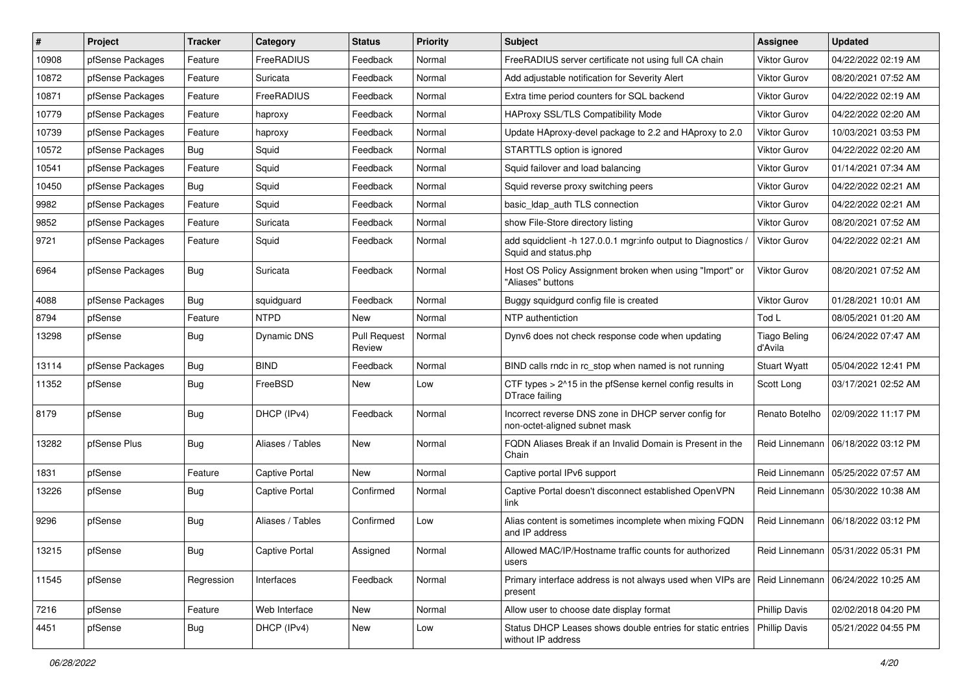| $\sharp$ | Project          | <b>Tracker</b> | Category           | <b>Status</b>                 | <b>Priority</b> | Subject                                                                               | <b>Assignee</b>                | <b>Updated</b>                       |
|----------|------------------|----------------|--------------------|-------------------------------|-----------------|---------------------------------------------------------------------------------------|--------------------------------|--------------------------------------|
| 10908    | pfSense Packages | Feature        | FreeRADIUS         | Feedback                      | Normal          | FreeRADIUS server certificate not using full CA chain                                 | Viktor Gurov                   | 04/22/2022 02:19 AM                  |
| 10872    | pfSense Packages | Feature        | Suricata           | Feedback                      | Normal          | Add adjustable notification for Severity Alert                                        | <b>Viktor Gurov</b>            | 08/20/2021 07:52 AM                  |
| 10871    | pfSense Packages | Feature        | FreeRADIUS         | Feedback                      | Normal          | Extra time period counters for SQL backend                                            | Viktor Gurov                   | 04/22/2022 02:19 AM                  |
| 10779    | pfSense Packages | Feature        | haproxy            | Feedback                      | Normal          | HAProxy SSL/TLS Compatibility Mode                                                    | <b>Viktor Gurov</b>            | 04/22/2022 02:20 AM                  |
| 10739    | pfSense Packages | Feature        | haproxy            | Feedback                      | Normal          | Update HAproxy-devel package to 2.2 and HAproxy to 2.0                                | Viktor Gurov                   | 10/03/2021 03:53 PM                  |
| 10572    | pfSense Packages | Bug            | Squid              | Feedback                      | Normal          | STARTTLS option is ignored                                                            | Viktor Gurov                   | 04/22/2022 02:20 AM                  |
| 10541    | pfSense Packages | Feature        | Squid              | Feedback                      | Normal          | Squid failover and load balancing                                                     | Viktor Gurov                   | 01/14/2021 07:34 AM                  |
| 10450    | pfSense Packages | Bug            | Squid              | Feedback                      | Normal          | Squid reverse proxy switching peers                                                   | <b>Viktor Gurov</b>            | 04/22/2022 02:21 AM                  |
| 9982     | pfSense Packages | Feature        | Squid              | Feedback                      | Normal          | basic Idap auth TLS connection                                                        | <b>Viktor Gurov</b>            | 04/22/2022 02:21 AM                  |
| 9852     | pfSense Packages | Feature        | Suricata           | Feedback                      | Normal          | show File-Store directory listing                                                     | <b>Viktor Gurov</b>            | 08/20/2021 07:52 AM                  |
| 9721     | pfSense Packages | Feature        | Squid              | Feedback                      | Normal          | add squidclient -h 127.0.0.1 mgr:info output to Diagnostics<br>Squid and status.php   | <b>Viktor Gurov</b>            | 04/22/2022 02:21 AM                  |
| 6964     | pfSense Packages | Bug            | Suricata           | Feedback                      | Normal          | Host OS Policy Assignment broken when using "Import" or<br>"Aliases" buttons          | Viktor Gurov                   | 08/20/2021 07:52 AM                  |
| 4088     | pfSense Packages | Bug            | squidguard         | Feedback                      | Normal          | Buggy squidgurd config file is created                                                | <b>Viktor Gurov</b>            | 01/28/2021 10:01 AM                  |
| 8794     | pfSense          | Feature        | <b>NTPD</b>        | New                           | Normal          | NTP authentiction                                                                     | Tod L                          | 08/05/2021 01:20 AM                  |
| 13298    | pfSense          | <b>Bug</b>     | <b>Dynamic DNS</b> | <b>Pull Request</b><br>Review | Normal          | Dynv6 does not check response code when updating                                      | <b>Tiago Beling</b><br>d'Avila | 06/24/2022 07:47 AM                  |
| 13114    | pfSense Packages | Bug            | <b>BIND</b>        | Feedback                      | Normal          | BIND calls rndc in rc stop when named is not running                                  | <b>Stuart Wyatt</b>            | 05/04/2022 12:41 PM                  |
| 11352    | pfSense          | Bug            | FreeBSD            | New                           | Low             | CTF types > 2^15 in the pfSense kernel config results in<br>DTrace failing            | Scott Long                     | 03/17/2021 02:52 AM                  |
| 8179     | pfSense          | <b>Bug</b>     | DHCP (IPv4)        | Feedback                      | Normal          | Incorrect reverse DNS zone in DHCP server config for<br>non-octet-aligned subnet mask | Renato Botelho                 | 02/09/2022 11:17 PM                  |
| 13282    | pfSense Plus     | <b>Bug</b>     | Aliases / Tables   | <b>New</b>                    | Normal          | FQDN Aliases Break if an Invalid Domain is Present in the<br>Chain                    |                                | Reid Linnemann   06/18/2022 03:12 PM |
| 1831     | pfSense          | Feature        | Captive Portal     | New                           | Normal          | Captive portal IPv6 support                                                           | Reid Linnemann                 | 05/25/2022 07:57 AM                  |
| 13226    | pfSense          | <b>Bug</b>     | Captive Portal     | Confirmed                     | Normal          | Captive Portal doesn't disconnect established OpenVPN<br>link                         | Reid Linnemann                 | 05/30/2022 10:38 AM                  |
| 9296     | pfSense          | Bug            | Aliases / Tables   | Confirmed                     | Low             | Alias content is sometimes incomplete when mixing FQDN<br>and IP address              | Reid Linnemann                 | 06/18/2022 03:12 PM                  |
| 13215    | pfSense          | <b>Bug</b>     | Captive Portal     | Assigned                      | Normal          | Allowed MAC/IP/Hostname traffic counts for authorized<br>users                        |                                | Reid Linnemann   05/31/2022 05:31 PM |
| 11545    | pfSense          | Regression     | Interfaces         | Feedback                      | Normal          | Primary interface address is not always used when VIPs are<br>present                 | Reid Linnemann                 | 06/24/2022 10:25 AM                  |
| 7216     | pfSense          | Feature        | Web Interface      | New                           | Normal          | Allow user to choose date display format                                              | <b>Phillip Davis</b>           | 02/02/2018 04:20 PM                  |
| 4451     | pfSense          | <b>Bug</b>     | DHCP (IPv4)        | New                           | Low             | Status DHCP Leases shows double entries for static entries<br>without IP address      | <b>Phillip Davis</b>           | 05/21/2022 04:55 PM                  |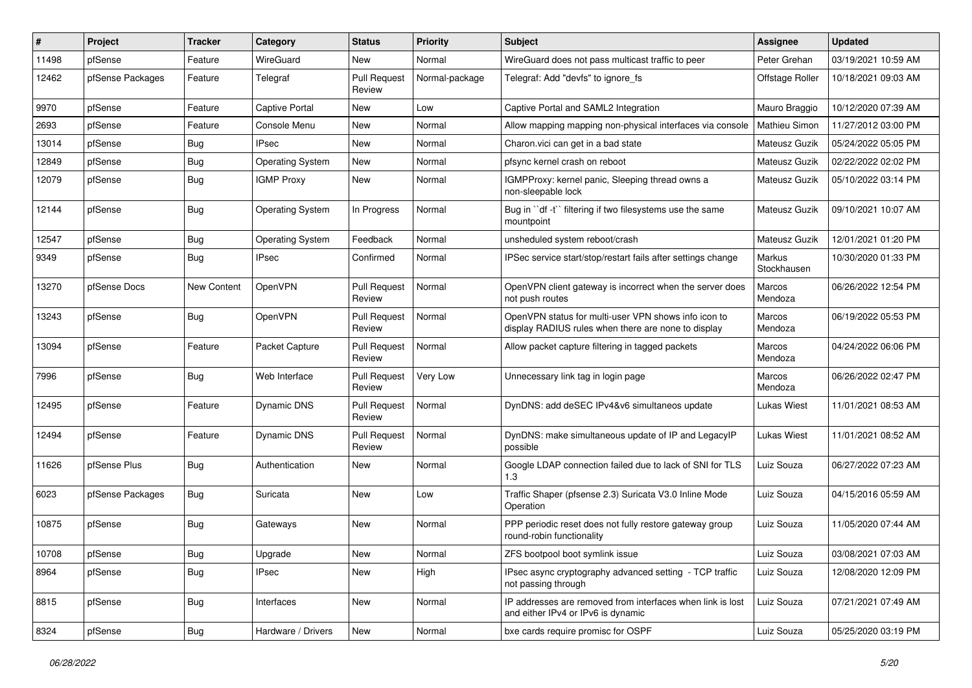| #     | Project          | <b>Tracker</b>     | Category                | <b>Status</b>                 | Priority       | <b>Subject</b>                                                                                              | <b>Assignee</b>       | <b>Updated</b>      |
|-------|------------------|--------------------|-------------------------|-------------------------------|----------------|-------------------------------------------------------------------------------------------------------------|-----------------------|---------------------|
| 11498 | pfSense          | Feature            | <b>WireGuard</b>        | New                           | Normal         | WireGuard does not pass multicast traffic to peer                                                           | Peter Grehan          | 03/19/2021 10:59 AM |
| 12462 | pfSense Packages | Feature            | Telegraf                | <b>Pull Request</b><br>Review | Normal-package | Telegraf: Add "devfs" to ignore fs                                                                          | Offstage Roller       | 10/18/2021 09:03 AM |
| 9970  | pfSense          | Feature            | <b>Captive Portal</b>   | <b>New</b>                    | Low            | Captive Portal and SAML2 Integration                                                                        | Mauro Braggio         | 10/12/2020 07:39 AM |
| 2693  | pfSense          | Feature            | Console Menu            | New                           | Normal         | Allow mapping mapping non-physical interfaces via console                                                   | Mathieu Simon         | 11/27/2012 03:00 PM |
| 13014 | pfSense          | <b>Bug</b>         | <b>IPsec</b>            | New                           | Normal         | Charon.vici can get in a bad state                                                                          | Mateusz Guzik         | 05/24/2022 05:05 PM |
| 12849 | pfSense          | <b>Bug</b>         | <b>Operating System</b> | New                           | Normal         | pfsync kernel crash on reboot                                                                               | Mateusz Guzik         | 02/22/2022 02:02 PM |
| 12079 | pfSense          | <b>Bug</b>         | <b>IGMP Proxy</b>       | New                           | Normal         | IGMPProxy: kernel panic, Sleeping thread owns a<br>non-sleepable lock                                       | Mateusz Guzik         | 05/10/2022 03:14 PM |
| 12144 | pfSense          | Bug                | <b>Operating System</b> | In Progress                   | Normal         | Bug in "df -t" filtering if two filesystems use the same<br>mountpoint                                      | Mateusz Guzik         | 09/10/2021 10:07 AM |
| 12547 | pfSense          | <b>Bug</b>         | <b>Operating System</b> | Feedback                      | Normal         | unsheduled system reboot/crash                                                                              | Mateusz Guzik         | 12/01/2021 01:20 PM |
| 9349  | pfSense          | Bug                | <b>IPsec</b>            | Confirmed                     | Normal         | IPSec service start/stop/restart fails after settings change                                                | Markus<br>Stockhausen | 10/30/2020 01:33 PM |
| 13270 | pfSense Docs     | <b>New Content</b> | OpenVPN                 | <b>Pull Request</b><br>Review | Normal         | OpenVPN client gateway is incorrect when the server does<br>not push routes                                 | Marcos<br>Mendoza     | 06/26/2022 12:54 PM |
| 13243 | pfSense          | <b>Bug</b>         | OpenVPN                 | <b>Pull Request</b><br>Review | Normal         | OpenVPN status for multi-user VPN shows info icon to<br>display RADIUS rules when there are none to display | Marcos<br>Mendoza     | 06/19/2022 05:53 PM |
| 13094 | pfSense          | Feature            | Packet Capture          | <b>Pull Request</b><br>Review | Normal         | Allow packet capture filtering in tagged packets                                                            | Marcos<br>Mendoza     | 04/24/2022 06:06 PM |
| 7996  | pfSense          | Bug                | Web Interface           | <b>Pull Request</b><br>Review | Very Low       | Unnecessary link tag in login page                                                                          | Marcos<br>Mendoza     | 06/26/2022 02:47 PM |
| 12495 | pfSense          | Feature            | <b>Dynamic DNS</b>      | <b>Pull Request</b><br>Review | Normal         | DynDNS: add deSEC IPv4&v6 simultaneos update                                                                | Lukas Wiest           | 11/01/2021 08:53 AM |
| 12494 | pfSense          | Feature            | <b>Dynamic DNS</b>      | Pull Request<br>Review        | Normal         | DynDNS: make simultaneous update of IP and LegacyIP<br>possible                                             | Lukas Wiest           | 11/01/2021 08:52 AM |
| 11626 | pfSense Plus     | <b>Bug</b>         | Authentication          | New                           | Normal         | Google LDAP connection failed due to lack of SNI for TLS<br>1.3                                             | Luiz Souza            | 06/27/2022 07:23 AM |
| 6023  | pfSense Packages | <b>Bug</b>         | Suricata                | New                           | Low            | Traffic Shaper (pfsense 2.3) Suricata V3.0 Inline Mode<br>Operation                                         | Luiz Souza            | 04/15/2016 05:59 AM |
| 10875 | pfSense          | <b>Bug</b>         | Gateways                | New                           | Normal         | PPP periodic reset does not fully restore gateway group<br>round-robin functionality                        | Luiz Souza            | 11/05/2020 07:44 AM |
| 10708 | pfSense          | Bug                | Upgrade                 | New                           | Normal         | ZFS bootpool boot symlink issue                                                                             | Luiz Souza            | 03/08/2021 07:03 AM |
| 8964  | pfSense          | <b>Bug</b>         | <b>IPsec</b>            | New                           | High           | IPsec async cryptography advanced setting - TCP traffic<br>not passing through                              | Luiz Souza            | 12/08/2020 12:09 PM |
| 8815  | pfSense          | <b>Bug</b>         | Interfaces              | New                           | Normal         | IP addresses are removed from interfaces when link is lost<br>and either IPv4 or IPv6 is dynamic            | Luiz Souza            | 07/21/2021 07:49 AM |
| 8324  | pfSense          | <b>Bug</b>         | Hardware / Drivers      | New                           | Normal         | bxe cards require promisc for OSPF                                                                          | Luiz Souza            | 05/25/2020 03:19 PM |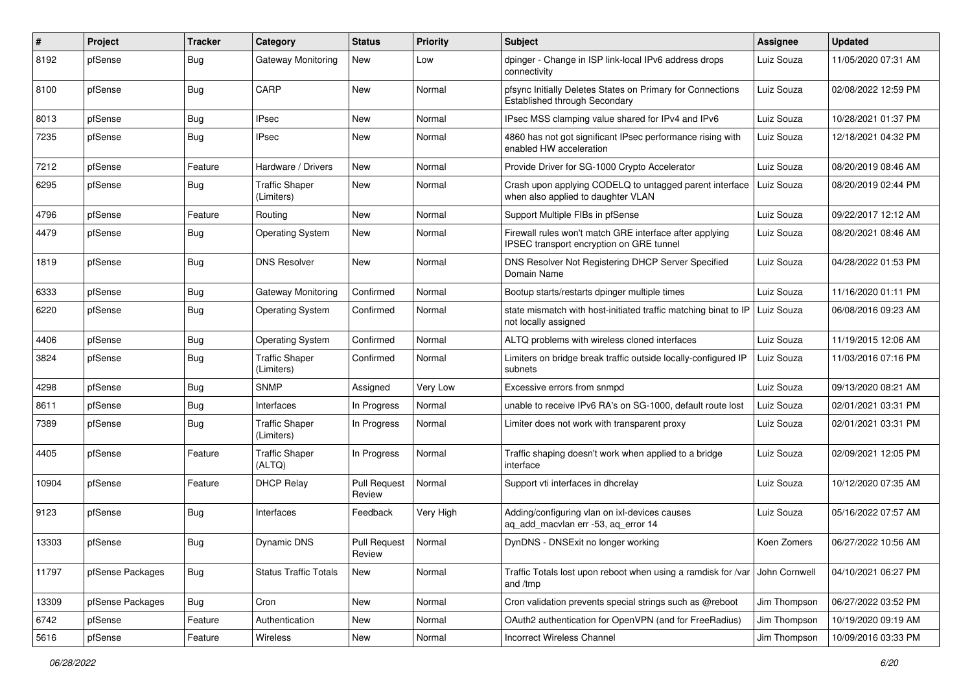| #     | Project          | Tracker    | Category                            | <b>Status</b>                 | <b>Priority</b> | Subject                                                                                             | Assignee      | <b>Updated</b>      |
|-------|------------------|------------|-------------------------------------|-------------------------------|-----------------|-----------------------------------------------------------------------------------------------------|---------------|---------------------|
| 8192  | pfSense          | <b>Bug</b> | Gateway Monitoring                  | New                           | Low             | dpinger - Change in ISP link-local IPv6 address drops<br>connectivity                               | Luiz Souza    | 11/05/2020 07:31 AM |
| 8100  | pfSense          | Bug        | CARP                                | <b>New</b>                    | Normal          | pfsync Initially Deletes States on Primary for Connections<br>Established through Secondary         | Luiz Souza    | 02/08/2022 12:59 PM |
| 8013  | pfSense          | <b>Bug</b> | <b>IPsec</b>                        | <b>New</b>                    | Normal          | IPsec MSS clamping value shared for IPv4 and IPv6                                                   | Luiz Souza    | 10/28/2021 01:37 PM |
| 7235  | pfSense          | Bug        | <b>IPsec</b>                        | New                           | Normal          | 4860 has not got significant IPsec performance rising with<br>enabled HW acceleration               | Luiz Souza    | 12/18/2021 04:32 PM |
| 7212  | pfSense          | Feature    | Hardware / Drivers                  | <b>New</b>                    | Normal          | Provide Driver for SG-1000 Crypto Accelerator                                                       | Luiz Souza    | 08/20/2019 08:46 AM |
| 6295  | pfSense          | Bug        | <b>Traffic Shaper</b><br>(Limiters) | <b>New</b>                    | Normal          | Crash upon applying CODELQ to untagged parent interface<br>when also applied to daughter VLAN       | Luiz Souza    | 08/20/2019 02:44 PM |
| 4796  | pfSense          | Feature    | Routing                             | New                           | Normal          | Support Multiple FIBs in pfSense                                                                    | Luiz Souza    | 09/22/2017 12:12 AM |
| 4479  | pfSense          | <b>Bug</b> | <b>Operating System</b>             | New                           | Normal          | Firewall rules won't match GRE interface after applying<br>IPSEC transport encryption on GRE tunnel | Luiz Souza    | 08/20/2021 08:46 AM |
| 1819  | pfSense          | Bug        | <b>DNS Resolver</b>                 | <b>New</b>                    | Normal          | DNS Resolver Not Registering DHCP Server Specified<br>Domain Name                                   | Luiz Souza    | 04/28/2022 01:53 PM |
| 6333  | pfSense          | Bug        | Gateway Monitoring                  | Confirmed                     | Normal          | Bootup starts/restarts dpinger multiple times                                                       | Luiz Souza    | 11/16/2020 01:11 PM |
| 6220  | pfSense          | Bug        | <b>Operating System</b>             | Confirmed                     | Normal          | state mismatch with host-initiated traffic matching binat to IP<br>not locally assigned             | Luiz Souza    | 06/08/2016 09:23 AM |
| 4406  | pfSense          | Bug        | <b>Operating System</b>             | Confirmed                     | Normal          | ALTQ problems with wireless cloned interfaces                                                       | Luiz Souza    | 11/19/2015 12:06 AM |
| 3824  | pfSense          | Bug        | <b>Traffic Shaper</b><br>(Limiters) | Confirmed                     | Normal          | Limiters on bridge break traffic outside locally-configured IP<br>subnets                           | Luiz Souza    | 11/03/2016 07:16 PM |
| 4298  | pfSense          | Bug        | <b>SNMP</b>                         | Assigned                      | Very Low        | Excessive errors from snmpd                                                                         | Luiz Souza    | 09/13/2020 08:21 AM |
| 8611  | pfSense          | <b>Bug</b> | Interfaces                          | In Progress                   | Normal          | unable to receive IPv6 RA's on SG-1000, default route lost                                          | Luiz Souza    | 02/01/2021 03:31 PM |
| 7389  | pfSense          | <b>Bug</b> | <b>Traffic Shaper</b><br>(Limiters) | In Progress                   | Normal          | Limiter does not work with transparent proxy                                                        | Luiz Souza    | 02/01/2021 03:31 PM |
| 4405  | pfSense          | Feature    | <b>Traffic Shaper</b><br>(ALTQ)     | In Progress                   | Normal          | Traffic shaping doesn't work when applied to a bridge<br>interface                                  | Luiz Souza    | 02/09/2021 12:05 PM |
| 10904 | pfSense          | Feature    | <b>DHCP Relay</b>                   | <b>Pull Request</b><br>Review | Normal          | Support vti interfaces in dhcrelay                                                                  | Luiz Souza    | 10/12/2020 07:35 AM |
| 9123  | pfSense          | <b>Bug</b> | Interfaces                          | Feedback                      | Very High       | Adding/configuring vlan on ixl-devices causes<br>aq_add_macvlan err -53, aq_error 14                | Luiz Souza    | 05/16/2022 07:57 AM |
| 13303 | pfSense          | <b>Bug</b> | Dynamic DNS                         | <b>Pull Request</b><br>Review | Normal          | DynDNS - DNSExit no longer working                                                                  | Koen Zomers   | 06/27/2022 10:56 AM |
| 11797 | pfSense Packages | Bug        | <b>Status Traffic Totals</b>        | New                           | Normal          | Traffic Totals lost upon reboot when using a ramdisk for /var<br>and /tmp                           | John Cornwell | 04/10/2021 06:27 PM |
| 13309 | pfSense Packages | <b>Bug</b> | Cron                                | New                           | Normal          | Cron validation prevents special strings such as @reboot                                            | Jim Thompson  | 06/27/2022 03:52 PM |
| 6742  | pfSense          | Feature    | Authentication                      | New                           | Normal          | OAuth2 authentication for OpenVPN (and for FreeRadius)                                              | Jim Thompson  | 10/19/2020 09:19 AM |
| 5616  | pfSense          | Feature    | Wireless                            | New                           | Normal          | Incorrect Wireless Channel                                                                          | Jim Thompson  | 10/09/2016 03:33 PM |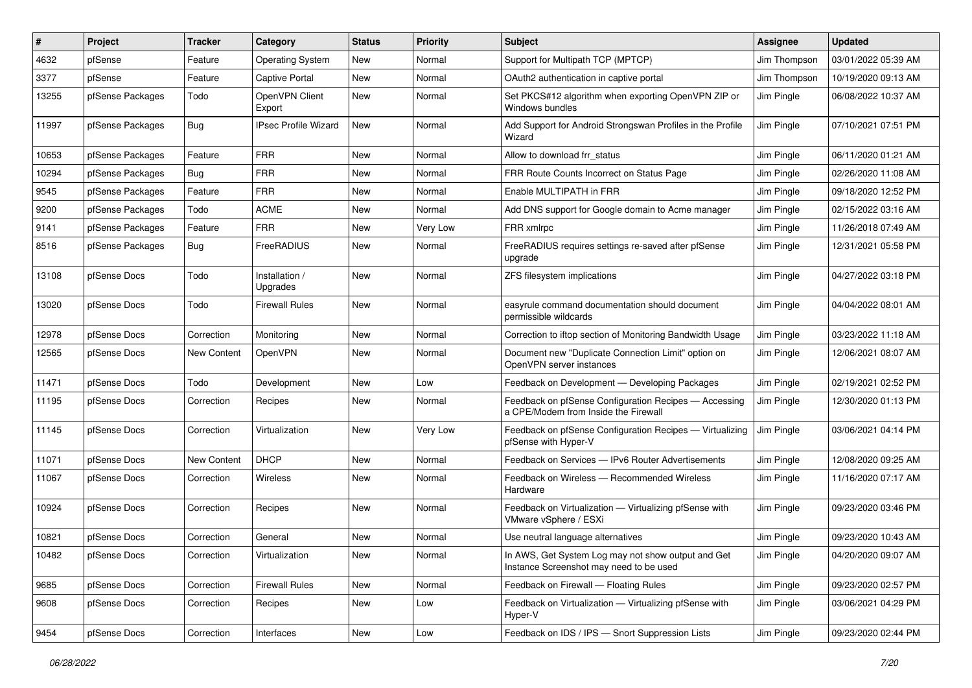| #     | Project          | <b>Tracker</b> | Category                    | <b>Status</b> | <b>Priority</b> | <b>Subject</b>                                                                                | <b>Assignee</b> | <b>Updated</b>      |
|-------|------------------|----------------|-----------------------------|---------------|-----------------|-----------------------------------------------------------------------------------------------|-----------------|---------------------|
| 4632  | pfSense          | Feature        | <b>Operating System</b>     | New           | Normal          | Support for Multipath TCP (MPTCP)                                                             | Jim Thompson    | 03/01/2022 05:39 AM |
| 3377  | pfSense          | Feature        | <b>Captive Portal</b>       | <b>New</b>    | Normal          | OAuth2 authentication in captive portal                                                       | Jim Thompson    | 10/19/2020 09:13 AM |
| 13255 | pfSense Packages | Todo           | OpenVPN Client<br>Export    | New           | Normal          | Set PKCS#12 algorithm when exporting OpenVPN ZIP or<br>Windows bundles                        | Jim Pingle      | 06/08/2022 10:37 AM |
| 11997 | pfSense Packages | Bug            | <b>IPsec Profile Wizard</b> | New           | Normal          | Add Support for Android Strongswan Profiles in the Profile<br>Wizard                          | Jim Pingle      | 07/10/2021 07:51 PM |
| 10653 | pfSense Packages | Feature        | <b>FRR</b>                  | New           | Normal          | Allow to download frr status                                                                  | Jim Pingle      | 06/11/2020 01:21 AM |
| 10294 | pfSense Packages | Bug            | <b>FRR</b>                  | New           | Normal          | FRR Route Counts Incorrect on Status Page                                                     | Jim Pingle      | 02/26/2020 11:08 AM |
| 9545  | pfSense Packages | Feature        | <b>FRR</b>                  | New           | Normal          | Enable MULTIPATH in FRR                                                                       | Jim Pingle      | 09/18/2020 12:52 PM |
| 9200  | pfSense Packages | Todo           | <b>ACME</b>                 | New           | Normal          | Add DNS support for Google domain to Acme manager                                             | Jim Pingle      | 02/15/2022 03:16 AM |
| 9141  | pfSense Packages | Feature        | <b>FRR</b>                  | New           | Very Low        | FRR xmlrpc                                                                                    | Jim Pingle      | 11/26/2018 07:49 AM |
| 8516  | pfSense Packages | Bug            | FreeRADIUS                  | New           | Normal          | FreeRADIUS requires settings re-saved after pfSense<br>upgrade                                | Jim Pingle      | 12/31/2021 05:58 PM |
| 13108 | pfSense Docs     | Todo           | Installation /<br>Upgrades  | New           | Normal          | ZFS filesystem implications                                                                   | Jim Pingle      | 04/27/2022 03:18 PM |
| 13020 | pfSense Docs     | Todo           | <b>Firewall Rules</b>       | New           | Normal          | easyrule command documentation should document<br>permissible wildcards                       | Jim Pingle      | 04/04/2022 08:01 AM |
| 12978 | pfSense Docs     | Correction     | Monitoring                  | <b>New</b>    | Normal          | Correction to iftop section of Monitoring Bandwidth Usage                                     | Jim Pingle      | 03/23/2022 11:18 AM |
| 12565 | pfSense Docs     | New Content    | <b>OpenVPN</b>              | New           | Normal          | Document new "Duplicate Connection Limit" option on<br>OpenVPN server instances               | Jim Pingle      | 12/06/2021 08:07 AM |
| 11471 | pfSense Docs     | Todo           | Development                 | <b>New</b>    | Low             | Feedback on Development - Developing Packages                                                 | Jim Pingle      | 02/19/2021 02:52 PM |
| 11195 | pfSense Docs     | Correction     | Recipes                     | New           | Normal          | Feedback on pfSense Configuration Recipes - Accessing<br>a CPE/Modem from Inside the Firewall | Jim Pingle      | 12/30/2020 01:13 PM |
| 11145 | pfSense Docs     | Correction     | Virtualization              | New           | Very Low        | Feedback on pfSense Configuration Recipes - Virtualizing<br>pfSense with Hyper-V              | Jim Pingle      | 03/06/2021 04:14 PM |
| 11071 | pfSense Docs     | New Content    | <b>DHCP</b>                 | <b>New</b>    | Normal          | Feedback on Services - IPv6 Router Advertisements                                             | Jim Pingle      | 12/08/2020 09:25 AM |
| 11067 | pfSense Docs     | Correction     | Wireless                    | New           | Normal          | Feedback on Wireless - Recommended Wireless<br>Hardware                                       | Jim Pingle      | 11/16/2020 07:17 AM |
| 10924 | pfSense Docs     | Correction     | Recipes                     | <b>New</b>    | Normal          | Feedback on Virtualization - Virtualizing pfSense with<br>VMware vSphere / ESXi               | Jim Pingle      | 09/23/2020 03:46 PM |
| 10821 | pfSense Docs     | Correction     | General                     | New           | Normal          | Use neutral language alternatives                                                             | Jim Pingle      | 09/23/2020 10:43 AM |
| 10482 | pfSense Docs     | Correction     | Virtualization              | New           | Normal          | In AWS, Get System Log may not show output and Get<br>Instance Screenshot may need to be used | Jim Pingle      | 04/20/2020 09:07 AM |
| 9685  | pfSense Docs     | Correction     | <b>Firewall Rules</b>       | New           | Normal          | Feedback on Firewall - Floating Rules                                                         | Jim Pingle      | 09/23/2020 02:57 PM |
| 9608  | pfSense Docs     | Correction     | Recipes                     | New           | Low             | Feedback on Virtualization - Virtualizing pfSense with<br>Hvper-V                             | Jim Pingle      | 03/06/2021 04:29 PM |
| 9454  | pfSense Docs     | Correction     | Interfaces                  | New           | Low             | Feedback on IDS / IPS - Snort Suppression Lists                                               | Jim Pingle      | 09/23/2020 02:44 PM |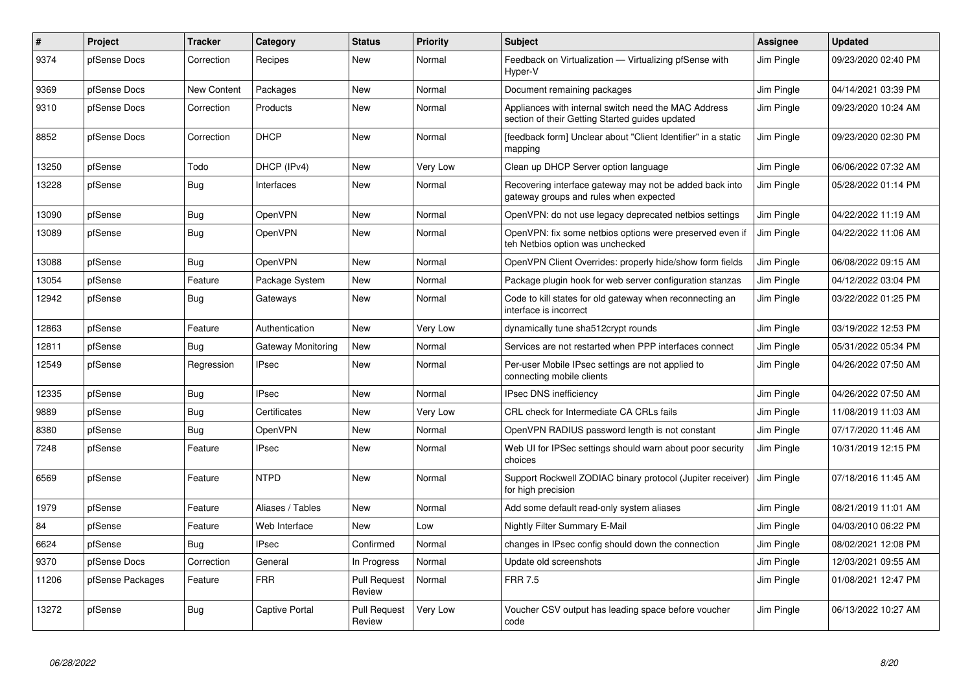| #     | Project          | <b>Tracker</b>     | Category              | <b>Status</b>                 | <b>Priority</b> | <b>Subject</b>                                                                                          | Assignee   | <b>Updated</b>      |
|-------|------------------|--------------------|-----------------------|-------------------------------|-----------------|---------------------------------------------------------------------------------------------------------|------------|---------------------|
| 9374  | pfSense Docs     | Correction         | Recipes               | <b>New</b>                    | Normal          | Feedback on Virtualization - Virtualizing pfSense with<br>Hyper-V                                       | Jim Pingle | 09/23/2020 02:40 PM |
| 9369  | pfSense Docs     | <b>New Content</b> | Packages              | New                           | Normal          | Document remaining packages                                                                             | Jim Pingle | 04/14/2021 03:39 PM |
| 9310  | pfSense Docs     | Correction         | Products              | <b>New</b>                    | Normal          | Appliances with internal switch need the MAC Address<br>section of their Getting Started guides updated | Jim Pingle | 09/23/2020 10:24 AM |
| 8852  | pfSense Docs     | Correction         | <b>DHCP</b>           | <b>New</b>                    | Normal          | [feedback form] Unclear about "Client Identifier" in a static<br>mapping                                | Jim Pingle | 09/23/2020 02:30 PM |
| 13250 | pfSense          | Todo               | DHCP (IPv4)           | <b>New</b>                    | Very Low        | Clean up DHCP Server option language                                                                    | Jim Pingle | 06/06/2022 07:32 AM |
| 13228 | pfSense          | <b>Bug</b>         | Interfaces            | <b>New</b>                    | Normal          | Recovering interface gateway may not be added back into<br>gateway groups and rules when expected       | Jim Pingle | 05/28/2022 01:14 PM |
| 13090 | pfSense          | <b>Bug</b>         | OpenVPN               | <b>New</b>                    | Normal          | OpenVPN: do not use legacy deprecated netbios settings                                                  | Jim Pingle | 04/22/2022 11:19 AM |
| 13089 | pfSense          | <b>Bug</b>         | <b>OpenVPN</b>        | <b>New</b>                    | Normal          | OpenVPN: fix some netbios options were preserved even if<br>teh Netbios option was unchecked            | Jim Pingle | 04/22/2022 11:06 AM |
| 13088 | pfSense          | <b>Bug</b>         | OpenVPN               | <b>New</b>                    | Normal          | OpenVPN Client Overrides: properly hide/show form fields                                                | Jim Pingle | 06/08/2022 09:15 AM |
| 13054 | pfSense          | Feature            | Package System        | New                           | Normal          | Package plugin hook for web server configuration stanzas                                                | Jim Pingle | 04/12/2022 03:04 PM |
| 12942 | pfSense          | <b>Bug</b>         | Gateways              | <b>New</b>                    | Normal          | Code to kill states for old gateway when reconnecting an<br>interface is incorrect                      | Jim Pingle | 03/22/2022 01:25 PM |
| 12863 | pfSense          | Feature            | Authentication        | <b>New</b>                    | Very Low        | dynamically tune sha512crypt rounds                                                                     | Jim Pingle | 03/19/2022 12:53 PM |
| 12811 | pfSense          | <b>Bug</b>         | Gateway Monitoring    | <b>New</b>                    | Normal          | Services are not restarted when PPP interfaces connect                                                  | Jim Pingle | 05/31/2022 05:34 PM |
| 12549 | pfSense          | Regression         | <b>IPsec</b>          | <b>New</b>                    | Normal          | Per-user Mobile IPsec settings are not applied to<br>connecting mobile clients                          | Jim Pingle | 04/26/2022 07:50 AM |
| 12335 | pfSense          | <b>Bug</b>         | <b>IPsec</b>          | <b>New</b>                    | Normal          | <b>IPsec DNS inefficiency</b>                                                                           | Jim Pingle | 04/26/2022 07:50 AM |
| 9889  | pfSense          | Bug                | Certificates          | <b>New</b>                    | Very Low        | CRL check for Intermediate CA CRLs fails                                                                | Jim Pingle | 11/08/2019 11:03 AM |
| 8380  | pfSense          | <b>Bug</b>         | OpenVPN               | <b>New</b>                    | Normal          | OpenVPN RADIUS password length is not constant                                                          | Jim Pingle | 07/17/2020 11:46 AM |
| 7248  | pfSense          | Feature            | <b>IPsec</b>          | <b>New</b>                    | Normal          | Web UI for IPSec settings should warn about poor security<br>choices                                    | Jim Pingle | 10/31/2019 12:15 PM |
| 6569  | pfSense          | Feature            | <b>NTPD</b>           | <b>New</b>                    | Normal          | Support Rockwell ZODIAC binary protocol (Jupiter receiver)<br>for high precision                        | Jim Pingle | 07/18/2016 11:45 AM |
| 1979  | pfSense          | Feature            | Aliases / Tables      | <b>New</b>                    | Normal          | Add some default read-only system aliases                                                               | Jim Pingle | 08/21/2019 11:01 AM |
| 84    | pfSense          | Feature            | Web Interface         | New                           | Low             | Nightly Filter Summary E-Mail                                                                           | Jim Pingle | 04/03/2010 06:22 PM |
| 6624  | pfSense          | <b>Bug</b>         | <b>IPsec</b>          | Confirmed                     | Normal          | changes in IPsec config should down the connection                                                      | Jim Pingle | 08/02/2021 12:08 PM |
| 9370  | pfSense Docs     | Correction         | General               | In Progress                   | Normal          | Update old screenshots                                                                                  | Jim Pingle | 12/03/2021 09:55 AM |
| 11206 | pfSense Packages | Feature            | <b>FRR</b>            | <b>Pull Request</b><br>Review | Normal          | <b>FRR 7.5</b>                                                                                          | Jim Pingle | 01/08/2021 12:47 PM |
| 13272 | pfSense          | Bug                | <b>Captive Portal</b> | <b>Pull Request</b><br>Review | Very Low        | Voucher CSV output has leading space before voucher<br>code                                             | Jim Pingle | 06/13/2022 10:27 AM |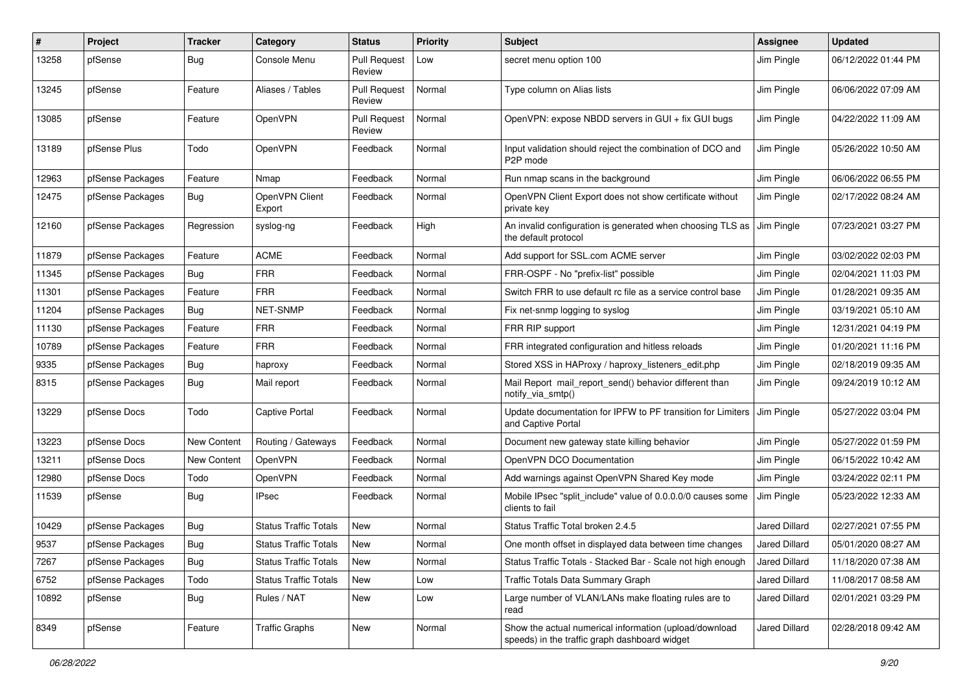| #     | Project          | <b>Tracker</b> | Category                     | <b>Status</b>                 | <b>Priority</b> | <b>Subject</b>                                                                                          | Assignee      | <b>Updated</b>      |
|-------|------------------|----------------|------------------------------|-------------------------------|-----------------|---------------------------------------------------------------------------------------------------------|---------------|---------------------|
| 13258 | pfSense          | Bug            | Console Menu                 | <b>Pull Request</b><br>Review | Low             | secret menu option 100                                                                                  | Jim Pingle    | 06/12/2022 01:44 PM |
| 13245 | pfSense          | Feature        | Aliases / Tables             | <b>Pull Request</b><br>Review | Normal          | Type column on Alias lists                                                                              | Jim Pingle    | 06/06/2022 07:09 AM |
| 13085 | pfSense          | Feature        | OpenVPN                      | <b>Pull Request</b><br>Review | Normal          | OpenVPN: expose NBDD servers in GUI + fix GUI bugs                                                      | Jim Pingle    | 04/22/2022 11:09 AM |
| 13189 | pfSense Plus     | Todo           | OpenVPN                      | Feedback                      | Normal          | Input validation should reject the combination of DCO and<br>P <sub>2</sub> P mode                      | Jim Pingle    | 05/26/2022 10:50 AM |
| 12963 | pfSense Packages | Feature        | Nmap                         | Feedback                      | Normal          | Run nmap scans in the background                                                                        | Jim Pingle    | 06/06/2022 06:55 PM |
| 12475 | pfSense Packages | <b>Bug</b>     | OpenVPN Client<br>Export     | Feedback                      | Normal          | OpenVPN Client Export does not show certificate without<br>private key                                  | Jim Pingle    | 02/17/2022 08:24 AM |
| 12160 | pfSense Packages | Regression     | syslog-ng                    | Feedback                      | High            | An invalid configuration is generated when choosing TLS as<br>the default protocol                      | Jim Pingle    | 07/23/2021 03:27 PM |
| 11879 | pfSense Packages | Feature        | <b>ACME</b>                  | Feedback                      | Normal          | Add support for SSL.com ACME server                                                                     | Jim Pingle    | 03/02/2022 02:03 PM |
| 11345 | pfSense Packages | Bug            | <b>FRR</b>                   | Feedback                      | Normal          | FRR-OSPF - No "prefix-list" possible                                                                    | Jim Pingle    | 02/04/2021 11:03 PM |
| 11301 | pfSense Packages | Feature        | <b>FRR</b>                   | Feedback                      | Normal          | Switch FRR to use default rc file as a service control base                                             | Jim Pingle    | 01/28/2021 09:35 AM |
| 11204 | pfSense Packages | <b>Bug</b>     | NET-SNMP                     | Feedback                      | Normal          | Fix net-snmp logging to syslog                                                                          | Jim Pingle    | 03/19/2021 05:10 AM |
| 11130 | pfSense Packages | Feature        | <b>FRR</b>                   | Feedback                      | Normal          | FRR RIP support                                                                                         | Jim Pingle    | 12/31/2021 04:19 PM |
| 10789 | pfSense Packages | Feature        | <b>FRR</b>                   | Feedback                      | Normal          | FRR integrated configuration and hitless reloads                                                        | Jim Pingle    | 01/20/2021 11:16 PM |
| 9335  | pfSense Packages | Bug            | haproxy                      | Feedback                      | Normal          | Stored XSS in HAProxy / haproxy_listeners_edit.php                                                      | Jim Pingle    | 02/18/2019 09:35 AM |
| 8315  | pfSense Packages | Bug            | Mail report                  | Feedback                      | Normal          | Mail Report mail_report_send() behavior different than<br>notify_via_smtp()                             | Jim Pingle    | 09/24/2019 10:12 AM |
| 13229 | pfSense Docs     | Todo           | <b>Captive Portal</b>        | Feedback                      | Normal          | Update documentation for IPFW to PF transition for Limiters<br>and Captive Portal                       | Jim Pingle    | 05/27/2022 03:04 PM |
| 13223 | pfSense Docs     | New Content    | Routing / Gateways           | Feedback                      | Normal          | Document new gateway state killing behavior                                                             | Jim Pingle    | 05/27/2022 01:59 PM |
| 13211 | pfSense Docs     | New Content    | OpenVPN                      | Feedback                      | Normal          | OpenVPN DCO Documentation                                                                               | Jim Pingle    | 06/15/2022 10:42 AM |
| 12980 | pfSense Docs     | Todo           | <b>OpenVPN</b>               | Feedback                      | Normal          | Add warnings against OpenVPN Shared Key mode                                                            | Jim Pingle    | 03/24/2022 02:11 PM |
| 11539 | pfSense          | Bug            | <b>IPsec</b>                 | Feedback                      | Normal          | Mobile IPsec "split include" value of 0.0.0.0/0 causes some<br>clients to fail                          | Jim Pingle    | 05/23/2022 12:33 AM |
| 10429 | pfSense Packages | <b>Bug</b>     | <b>Status Traffic Totals</b> | New                           | Normal          | Status Traffic Total broken 2.4.5                                                                       | Jared Dillard | 02/27/2021 07:55 PM |
| 9537  | pfSense Packages | <b>Bug</b>     | <b>Status Traffic Totals</b> | New                           | Normal          | One month offset in displayed data between time changes                                                 | Jared Dillard | 05/01/2020 08:27 AM |
| 7267  | pfSense Packages | Bug            | <b>Status Traffic Totals</b> | New                           | Normal          | Status Traffic Totals - Stacked Bar - Scale not high enough                                             | Jared Dillard | 11/18/2020 07:38 AM |
| 6752  | pfSense Packages | Todo           | <b>Status Traffic Totals</b> | New                           | Low             | Traffic Totals Data Summary Graph                                                                       | Jared Dillard | 11/08/2017 08:58 AM |
| 10892 | pfSense          | Bug            | Rules / NAT                  | New                           | Low             | Large number of VLAN/LANs make floating rules are to<br>read                                            | Jared Dillard | 02/01/2021 03:29 PM |
| 8349  | pfSense          | Feature        | <b>Traffic Graphs</b>        | New                           | Normal          | Show the actual numerical information (upload/download<br>speeds) in the traffic graph dashboard widget | Jared Dillard | 02/28/2018 09:42 AM |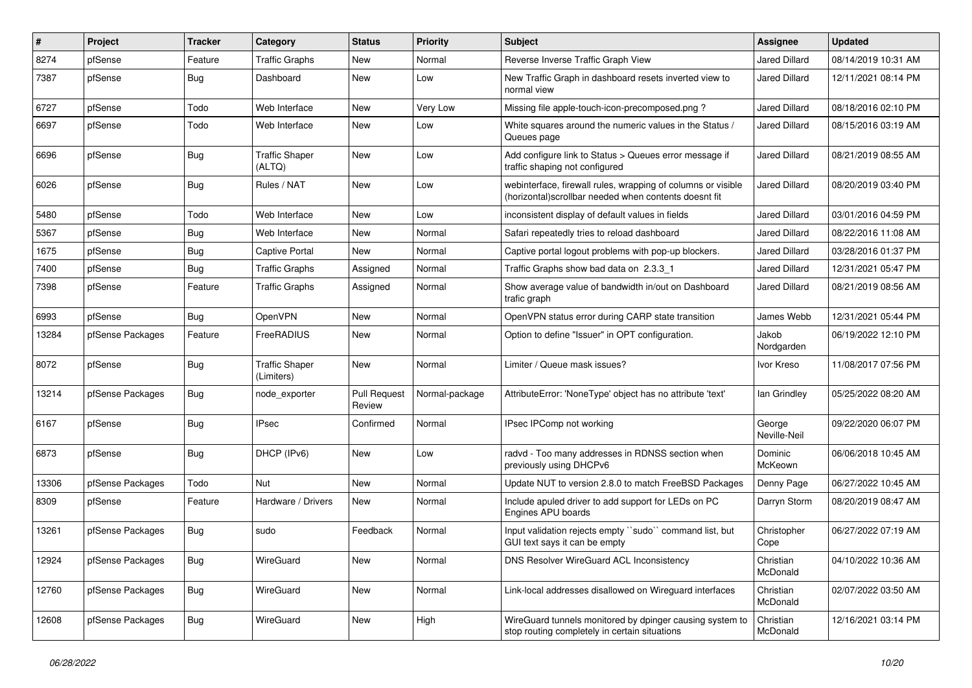| #     | Project          | <b>Tracker</b> | Category                            | <b>Status</b>                 | <b>Priority</b> | <b>Subject</b>                                                                                                        | <b>Assignee</b>        | <b>Updated</b>      |
|-------|------------------|----------------|-------------------------------------|-------------------------------|-----------------|-----------------------------------------------------------------------------------------------------------------------|------------------------|---------------------|
| 8274  | pfSense          | Feature        | <b>Traffic Graphs</b>               | New                           | Normal          | Reverse Inverse Traffic Graph View                                                                                    | Jared Dillard          | 08/14/2019 10:31 AM |
| 7387  | pfSense          | <b>Bug</b>     | Dashboard                           | <b>New</b>                    | Low             | New Traffic Graph in dashboard resets inverted view to<br>normal view                                                 | Jared Dillard          | 12/11/2021 08:14 PM |
| 6727  | pfSense          | Todo           | Web Interface                       | <b>New</b>                    | Very Low        | Missing file apple-touch-icon-precomposed.png?                                                                        | Jared Dillard          | 08/18/2016 02:10 PM |
| 6697  | pfSense          | Todo           | Web Interface                       | <b>New</b>                    | Low             | White squares around the numeric values in the Status /<br>Queues page                                                | Jared Dillard          | 08/15/2016 03:19 AM |
| 6696  | pfSense          | Bug            | <b>Traffic Shaper</b><br>(ALTQ)     | <b>New</b>                    | Low             | Add configure link to Status > Queues error message if<br>traffic shaping not configured                              | Jared Dillard          | 08/21/2019 08:55 AM |
| 6026  | pfSense          | <b>Bug</b>     | Rules / NAT                         | <b>New</b>                    | Low             | webinterface, firewall rules, wrapping of columns or visible<br>(horizontal)scrollbar needed when contents doesnt fit | Jared Dillard          | 08/20/2019 03:40 PM |
| 5480  | pfSense          | Todo           | Web Interface                       | New                           | Low             | inconsistent display of default values in fields                                                                      | Jared Dillard          | 03/01/2016 04:59 PM |
| 5367  | pfSense          | <b>Bug</b>     | Web Interface                       | New                           | Normal          | Safari repeatedly tries to reload dashboard                                                                           | Jared Dillard          | 08/22/2016 11:08 AM |
| 1675  | pfSense          | <b>Bug</b>     | <b>Captive Portal</b>               | New                           | Normal          | Captive portal logout problems with pop-up blockers.                                                                  | Jared Dillard          | 03/28/2016 01:37 PM |
| 7400  | pfSense          | <b>Bug</b>     | <b>Traffic Graphs</b>               | Assigned                      | Normal          | Traffic Graphs show bad data on 2.3.3 1                                                                               | Jared Dillard          | 12/31/2021 05:47 PM |
| 7398  | pfSense          | Feature        | <b>Traffic Graphs</b>               | Assigned                      | Normal          | Show average value of bandwidth in/out on Dashboard<br>trafic graph                                                   | Jared Dillard          | 08/21/2019 08:56 AM |
| 6993  | pfSense          | Bug            | OpenVPN                             | <b>New</b>                    | Normal          | OpenVPN status error during CARP state transition                                                                     | James Webb             | 12/31/2021 05:44 PM |
| 13284 | pfSense Packages | Feature        | FreeRADIUS                          | <b>New</b>                    | Normal          | Option to define "Issuer" in OPT configuration.                                                                       | Jakob<br>Nordgarden    | 06/19/2022 12:10 PM |
| 8072  | pfSense          | <b>Bug</b>     | <b>Traffic Shaper</b><br>(Limiters) | New                           | Normal          | Limiter / Queue mask issues?                                                                                          | Ivor Kreso             | 11/08/2017 07:56 PM |
| 13214 | pfSense Packages | Bug            | node exporter                       | <b>Pull Request</b><br>Review | Normal-package  | AttributeError: 'NoneType' object has no attribute 'text'                                                             | lan Grindley           | 05/25/2022 08:20 AM |
| 6167  | pfSense          | Bug            | <b>IPsec</b>                        | Confirmed                     | Normal          | IPsec IPComp not working                                                                                              | George<br>Neville-Neil | 09/22/2020 06:07 PM |
| 6873  | pfSense          | Bug            | DHCP (IPv6)                         | New                           | Low             | radvd - Too many addresses in RDNSS section when<br>previously using DHCPv6                                           | Dominic<br>McKeown     | 06/06/2018 10:45 AM |
| 13306 | pfSense Packages | Todo           | <b>Nut</b>                          | New                           | Normal          | Update NUT to version 2.8.0 to match FreeBSD Packages                                                                 | Denny Page             | 06/27/2022 10:45 AM |
| 8309  | pfSense          | Feature        | Hardware / Drivers                  | New                           | Normal          | Include apuled driver to add support for LEDs on PC<br>Engines APU boards                                             | Darryn Storm           | 08/20/2019 08:47 AM |
| 13261 | pfSense Packages | Bug            | sudo                                | Feedback                      | Normal          | Input validation rejects empty "sudo" command list, but<br>GUI text says it can be empty                              | Christopher<br>Cope    | 06/27/2022 07:19 AM |
| 12924 | pfSense Packages | <b>Bug</b>     | WireGuard                           | New                           | Normal          | DNS Resolver WireGuard ACL Inconsistency                                                                              | Christian<br>McDonald  | 04/10/2022 10:36 AM |
| 12760 | pfSense Packages | <b>Bug</b>     | WireGuard                           | New                           | Normal          | Link-local addresses disallowed on Wireguard interfaces                                                               | Christian<br>McDonald  | 02/07/2022 03:50 AM |
| 12608 | pfSense Packages | Bug            | WireGuard                           | New                           | High            | WireGuard tunnels monitored by dpinger causing system to<br>stop routing completely in certain situations             | Christian<br>McDonald  | 12/16/2021 03:14 PM |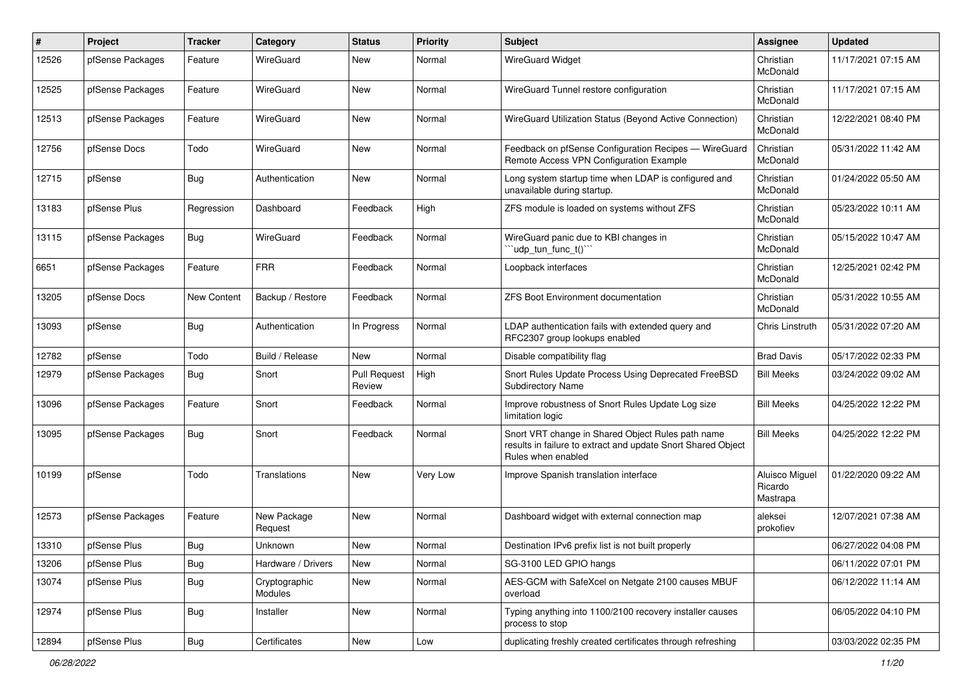| #     | Project          | <b>Tracker</b>     | Category                 | <b>Status</b>                 | <b>Priority</b> | <b>Subject</b>                                                                                                                          | <b>Assignee</b>                       | <b>Updated</b>      |
|-------|------------------|--------------------|--------------------------|-------------------------------|-----------------|-----------------------------------------------------------------------------------------------------------------------------------------|---------------------------------------|---------------------|
| 12526 | pfSense Packages | Feature            | WireGuard                | <b>New</b>                    | Normal          | <b>WireGuard Widget</b>                                                                                                                 | Christian<br>McDonald                 | 11/17/2021 07:15 AM |
| 12525 | pfSense Packages | Feature            | <b>WireGuard</b>         | New                           | Normal          | WireGuard Tunnel restore configuration                                                                                                  | Christian<br>McDonald                 | 11/17/2021 07:15 AM |
| 12513 | pfSense Packages | Feature            | WireGuard                | <b>New</b>                    | Normal          | WireGuard Utilization Status (Beyond Active Connection)                                                                                 | Christian<br>McDonald                 | 12/22/2021 08:40 PM |
| 12756 | pfSense Docs     | Todo               | WireGuard                | New                           | Normal          | Feedback on pfSense Configuration Recipes - WireGuard<br>Remote Access VPN Configuration Example                                        | Christian<br>McDonald                 | 05/31/2022 11:42 AM |
| 12715 | pfSense          | <b>Bug</b>         | Authentication           | <b>New</b>                    | Normal          | Long system startup time when LDAP is configured and<br>unavailable during startup.                                                     | Christian<br>McDonald                 | 01/24/2022 05:50 AM |
| 13183 | pfSense Plus     | Regression         | Dashboard                | Feedback                      | High            | ZFS module is loaded on systems without ZFS                                                                                             | Christian<br>McDonald                 | 05/23/2022 10:11 AM |
| 13115 | pfSense Packages | Bug                | WireGuard                | Feedback                      | Normal          | WireGuard panic due to KBI changes in<br>'udp_tun_func_t()'''                                                                           | Christian<br>McDonald                 | 05/15/2022 10:47 AM |
| 6651  | pfSense Packages | Feature            | <b>FRR</b>               | Feedback                      | Normal          | Loopback interfaces                                                                                                                     | Christian<br>McDonald                 | 12/25/2021 02:42 PM |
| 13205 | pfSense Docs     | <b>New Content</b> | Backup / Restore         | Feedback                      | Normal          | <b>ZFS Boot Environment documentation</b>                                                                                               | Christian<br>McDonald                 | 05/31/2022 10:55 AM |
| 13093 | pfSense          | <b>Bug</b>         | Authentication           | In Progress                   | Normal          | LDAP authentication fails with extended query and<br>RFC2307 group lookups enabled                                                      | Chris Linstruth                       | 05/31/2022 07:20 AM |
| 12782 | pfSense          | Todo               | Build / Release          | <b>New</b>                    | Normal          | Disable compatibility flag                                                                                                              | <b>Brad Davis</b>                     | 05/17/2022 02:33 PM |
| 12979 | pfSense Packages | Bug                | Snort                    | <b>Pull Request</b><br>Review | High            | Snort Rules Update Process Using Deprecated FreeBSD<br><b>Subdirectory Name</b>                                                         | <b>Bill Meeks</b>                     | 03/24/2022 09:02 AM |
| 13096 | pfSense Packages | Feature            | Snort                    | Feedback                      | Normal          | Improve robustness of Snort Rules Update Log size<br>limitation logic                                                                   | <b>Bill Meeks</b>                     | 04/25/2022 12:22 PM |
| 13095 | pfSense Packages | <b>Bug</b>         | Snort                    | Feedback                      | Normal          | Snort VRT change in Shared Object Rules path name<br>results in failure to extract and update Snort Shared Object<br>Rules when enabled | <b>Bill Meeks</b>                     | 04/25/2022 12:22 PM |
| 10199 | pfSense          | Todo               | Translations             | New                           | Very Low        | Improve Spanish translation interface                                                                                                   | Aluisco Miguel<br>Ricardo<br>Mastrapa | 01/22/2020 09:22 AM |
| 12573 | pfSense Packages | Feature            | New Package<br>Request   | New                           | Normal          | Dashboard widget with external connection map                                                                                           | aleksei<br>prokofiev                  | 12/07/2021 07:38 AM |
| 13310 | pfSense Plus     | <b>Bug</b>         | Unknown                  | <b>New</b>                    | Normal          | Destination IPv6 prefix list is not built properly                                                                                      |                                       | 06/27/2022 04:08 PM |
| 13206 | pfSense Plus     | Bug                | Hardware / Drivers       | <b>New</b>                    | Normal          | SG-3100 LED GPIO hangs                                                                                                                  |                                       | 06/11/2022 07:01 PM |
| 13074 | pfSense Plus     | <b>Bug</b>         | Cryptographic<br>Modules | New                           | Normal          | AES-GCM with SafeXcel on Netgate 2100 causes MBUF<br>overload                                                                           |                                       | 06/12/2022 11:14 AM |
| 12974 | pfSense Plus     | <b>Bug</b>         | Installer                | New                           | Normal          | Typing anything into 1100/2100 recovery installer causes<br>process to stop                                                             |                                       | 06/05/2022 04:10 PM |
| 12894 | pfSense Plus     | Bug                | Certificates             | New                           | Low             | duplicating freshly created certificates through refreshing                                                                             |                                       | 03/03/2022 02:35 PM |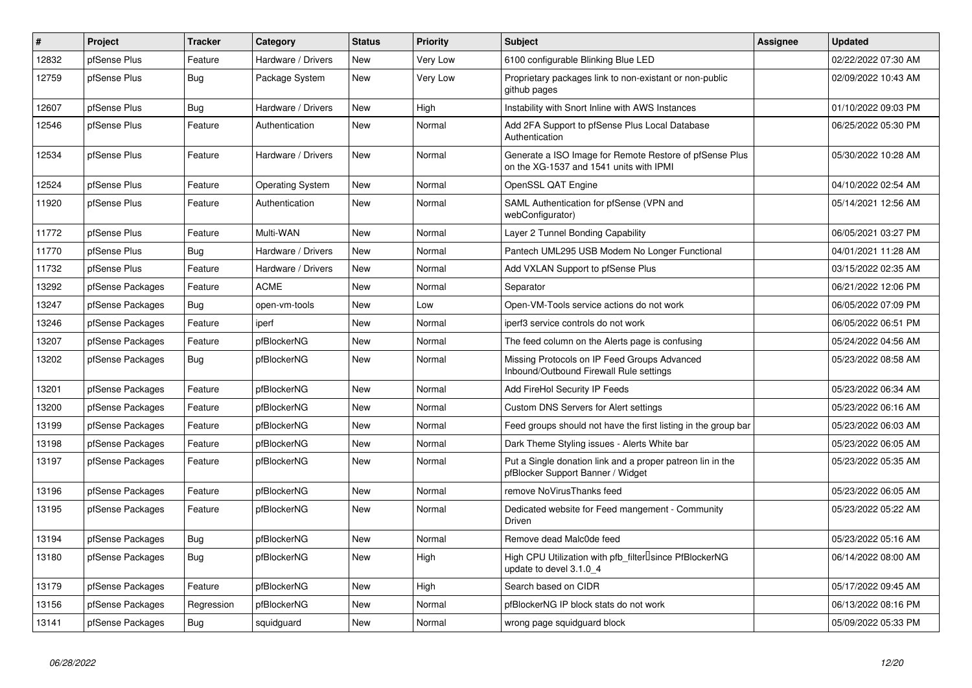| $\overline{\boldsymbol{H}}$ | Project          | <b>Tracker</b> | Category                | <b>Status</b> | <b>Priority</b> | <b>Subject</b>                                                                                     | <b>Assignee</b> | <b>Updated</b>      |
|-----------------------------|------------------|----------------|-------------------------|---------------|-----------------|----------------------------------------------------------------------------------------------------|-----------------|---------------------|
| 12832                       | pfSense Plus     | Feature        | Hardware / Drivers      | <b>New</b>    | Very Low        | 6100 configurable Blinking Blue LED                                                                |                 | 02/22/2022 07:30 AM |
| 12759                       | pfSense Plus     | <b>Bug</b>     | Package System          | <b>New</b>    | Very Low        | Proprietary packages link to non-existant or non-public<br>github pages                            |                 | 02/09/2022 10:43 AM |
| 12607                       | pfSense Plus     | Bug            | Hardware / Drivers      | New           | High            | Instability with Snort Inline with AWS Instances                                                   |                 | 01/10/2022 09:03 PM |
| 12546                       | pfSense Plus     | Feature        | Authentication          | <b>New</b>    | Normal          | Add 2FA Support to pfSense Plus Local Database<br>Authentication                                   |                 | 06/25/2022 05:30 PM |
| 12534                       | pfSense Plus     | Feature        | Hardware / Drivers      | New           | Normal          | Generate a ISO Image for Remote Restore of pfSense Plus<br>on the XG-1537 and 1541 units with IPMI |                 | 05/30/2022 10:28 AM |
| 12524                       | pfSense Plus     | Feature        | <b>Operating System</b> | New           | Normal          | OpenSSL QAT Engine                                                                                 |                 | 04/10/2022 02:54 AM |
| 11920                       | pfSense Plus     | Feature        | Authentication          | New           | Normal          | SAML Authentication for pfSense (VPN and<br>webConfigurator)                                       |                 | 05/14/2021 12:56 AM |
| 11772                       | pfSense Plus     | Feature        | Multi-WAN               | <b>New</b>    | Normal          | Layer 2 Tunnel Bonding Capability                                                                  |                 | 06/05/2021 03:27 PM |
| 11770                       | pfSense Plus     | <b>Bug</b>     | Hardware / Drivers      | <b>New</b>    | Normal          | Pantech UML295 USB Modem No Longer Functional                                                      |                 | 04/01/2021 11:28 AM |
| 11732                       | pfSense Plus     | Feature        | Hardware / Drivers      | New           | Normal          | Add VXLAN Support to pfSense Plus                                                                  |                 | 03/15/2022 02:35 AM |
| 13292                       | pfSense Packages | Feature        | <b>ACME</b>             | New           | Normal          | Separator                                                                                          |                 | 06/21/2022 12:06 PM |
| 13247                       | pfSense Packages | Bug            | open-vm-tools           | New           | Low             | Open-VM-Tools service actions do not work                                                          |                 | 06/05/2022 07:09 PM |
| 13246                       | pfSense Packages | Feature        | iperf                   | New           | Normal          | iperf3 service controls do not work                                                                |                 | 06/05/2022 06:51 PM |
| 13207                       | pfSense Packages | Feature        | pfBlockerNG             | New           | Normal          | The feed column on the Alerts page is confusing                                                    |                 | 05/24/2022 04:56 AM |
| 13202                       | pfSense Packages | Bug            | pfBlockerNG             | <b>New</b>    | Normal          | Missing Protocols on IP Feed Groups Advanced<br>Inbound/Outbound Firewall Rule settings            |                 | 05/23/2022 08:58 AM |
| 13201                       | pfSense Packages | Feature        | pfBlockerNG             | <b>New</b>    | Normal          | Add FireHol Security IP Feeds                                                                      |                 | 05/23/2022 06:34 AM |
| 13200                       | pfSense Packages | Feature        | pfBlockerNG             | New           | Normal          | Custom DNS Servers for Alert settings                                                              |                 | 05/23/2022 06:16 AM |
| 13199                       | pfSense Packages | Feature        | pfBlockerNG             | New           | Normal          | Feed groups should not have the first listing in the group bar                                     |                 | 05/23/2022 06:03 AM |
| 13198                       | pfSense Packages | Feature        | pfBlockerNG             | <b>New</b>    | Normal          | Dark Theme Styling issues - Alerts White bar                                                       |                 | 05/23/2022 06:05 AM |
| 13197                       | pfSense Packages | Feature        | pfBlockerNG             | New           | Normal          | Put a Single donation link and a proper patreon lin in the<br>pfBlocker Support Banner / Widget    |                 | 05/23/2022 05:35 AM |
| 13196                       | pfSense Packages | Feature        | pfBlockerNG             | New           | Normal          | remove NoVirusThanks feed                                                                          |                 | 05/23/2022 06:05 AM |
| 13195                       | pfSense Packages | Feature        | pfBlockerNG             | New           | Normal          | Dedicated website for Feed mangement - Community<br>Driven                                         |                 | 05/23/2022 05:22 AM |
| 13194                       | pfSense Packages | <b>Bug</b>     | pfBlockerNG             | <b>New</b>    | Normal          | Remove dead Malc0de feed                                                                           |                 | 05/23/2022 05:16 AM |
| 13180                       | pfSense Packages | Bug            | pfBlockerNG             | New           | High            | High CPU Utilization with pfb_filter <sup>[]</sup> since PfBlockerNG<br>update to devel 3.1.0_4    |                 | 06/14/2022 08:00 AM |
| 13179                       | pfSense Packages | Feature        | pfBlockerNG             | <b>New</b>    | High            | Search based on CIDR                                                                               |                 | 05/17/2022 09:45 AM |
| 13156                       | pfSense Packages | Regression     | pfBlockerNG             | <b>New</b>    | Normal          | pfBlockerNG IP block stats do not work                                                             |                 | 06/13/2022 08:16 PM |
| 13141                       | pfSense Packages | Bug            | squidguard              | New           | Normal          | wrong page squidguard block                                                                        |                 | 05/09/2022 05:33 PM |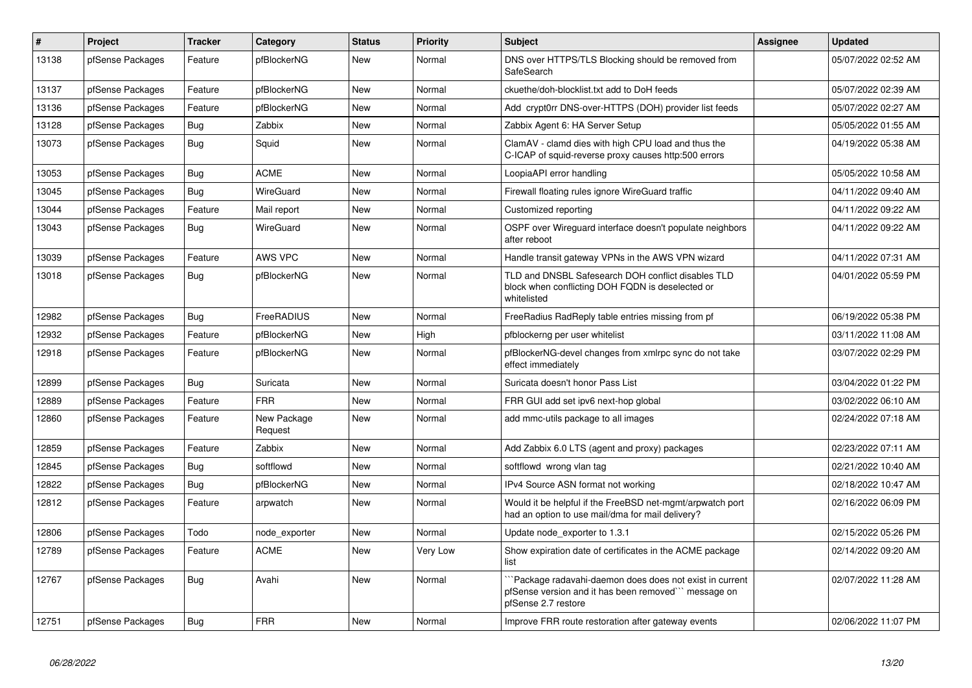| #     | Project          | <b>Tracker</b> | Category               | <b>Status</b> | <b>Priority</b> | <b>Subject</b>                                                                                                                        | <b>Assignee</b> | <b>Updated</b>      |
|-------|------------------|----------------|------------------------|---------------|-----------------|---------------------------------------------------------------------------------------------------------------------------------------|-----------------|---------------------|
| 13138 | pfSense Packages | Feature        | pfBlockerNG            | <b>New</b>    | Normal          | DNS over HTTPS/TLS Blocking should be removed from<br>SafeSearch                                                                      |                 | 05/07/2022 02:52 AM |
| 13137 | pfSense Packages | Feature        | pfBlockerNG            | <b>New</b>    | Normal          | ckuethe/doh-blocklist.txt add to DoH feeds                                                                                            |                 | 05/07/2022 02:39 AM |
| 13136 | pfSense Packages | Feature        | pfBlockerNG            | <b>New</b>    | Normal          | Add crypt0rr DNS-over-HTTPS (DOH) provider list feeds                                                                                 |                 | 05/07/2022 02:27 AM |
| 13128 | pfSense Packages | Bug            | Zabbix                 | <b>New</b>    | Normal          | Zabbix Agent 6: HA Server Setup                                                                                                       |                 | 05/05/2022 01:55 AM |
| 13073 | pfSense Packages | <b>Bug</b>     | Squid                  | <b>New</b>    | Normal          | ClamAV - clamd dies with high CPU load and thus the<br>C-ICAP of squid-reverse proxy causes http:500 errors                           |                 | 04/19/2022 05:38 AM |
| 13053 | pfSense Packages | Bug            | <b>ACME</b>            | <b>New</b>    | Normal          | LoopiaAPI error handling                                                                                                              |                 | 05/05/2022 10:58 AM |
| 13045 | pfSense Packages | Bug            | WireGuard              | New           | Normal          | Firewall floating rules ignore WireGuard traffic                                                                                      |                 | 04/11/2022 09:40 AM |
| 13044 | pfSense Packages | Feature        | Mail report            | New           | Normal          | Customized reporting                                                                                                                  |                 | 04/11/2022 09:22 AM |
| 13043 | pfSense Packages | <b>Bug</b>     | WireGuard              | <b>New</b>    | Normal          | OSPF over Wireguard interface doesn't populate neighbors<br>after reboot                                                              |                 | 04/11/2022 09:22 AM |
| 13039 | pfSense Packages | Feature        | AWS VPC                | <b>New</b>    | Normal          | Handle transit gateway VPNs in the AWS VPN wizard                                                                                     |                 | 04/11/2022 07:31 AM |
| 13018 | pfSense Packages | Bug            | pfBlockerNG            | <b>New</b>    | Normal          | TLD and DNSBL Safesearch DOH conflict disables TLD<br>block when conflicting DOH FQDN is deselected or<br>whitelisted                 |                 | 04/01/2022 05:59 PM |
| 12982 | pfSense Packages | Bug            | FreeRADIUS             | <b>New</b>    | Normal          | FreeRadius RadReply table entries missing from pf                                                                                     |                 | 06/19/2022 05:38 PM |
| 12932 | pfSense Packages | Feature        | pfBlockerNG            | <b>New</b>    | High            | pfblockerng per user whitelist                                                                                                        |                 | 03/11/2022 11:08 AM |
| 12918 | pfSense Packages | Feature        | pfBlockerNG            | <b>New</b>    | Normal          | pfBlockerNG-devel changes from xmlrpc sync do not take<br>effect immediately                                                          |                 | 03/07/2022 02:29 PM |
| 12899 | pfSense Packages | Bug            | Suricata               | <b>New</b>    | Normal          | Suricata doesn't honor Pass List                                                                                                      |                 | 03/04/2022 01:22 PM |
| 12889 | pfSense Packages | Feature        | <b>FRR</b>             | <b>New</b>    | Normal          | FRR GUI add set ipv6 next-hop global                                                                                                  |                 | 03/02/2022 06:10 AM |
| 12860 | pfSense Packages | Feature        | New Package<br>Request | <b>New</b>    | Normal          | add mmc-utils package to all images                                                                                                   |                 | 02/24/2022 07:18 AM |
| 12859 | pfSense Packages | Feature        | Zabbix                 | <b>New</b>    | Normal          | Add Zabbix 6.0 LTS (agent and proxy) packages                                                                                         |                 | 02/23/2022 07:11 AM |
| 12845 | pfSense Packages | Bug            | softflowd              | New           | Normal          | softflowd wrong vlan tag                                                                                                              |                 | 02/21/2022 10:40 AM |
| 12822 | pfSense Packages | <b>Bug</b>     | pfBlockerNG            | <b>New</b>    | Normal          | IPv4 Source ASN format not working                                                                                                    |                 | 02/18/2022 10:47 AM |
| 12812 | pfSense Packages | Feature        | arpwatch               | <b>New</b>    | Normal          | Would it be helpful if the FreeBSD net-mgmt/arpwatch port<br>had an option to use mail/dma for mail delivery?                         |                 | 02/16/2022 06:09 PM |
| 12806 | pfSense Packages | Todo           | node_exporter          | New           | Normal          | Update node exporter to 1.3.1                                                                                                         |                 | 02/15/2022 05:26 PM |
| 12789 | pfSense Packages | Feature        | <b>ACME</b>            | <b>New</b>    | Very Low        | Show expiration date of certificates in the ACME package<br>list                                                                      |                 | 02/14/2022 09:20 AM |
| 12767 | pfSense Packages | <b>Bug</b>     | Avahi                  | <b>New</b>    | Normal          | Package radavahi-daemon does does not exist in current<br>pfSense version and it has been removed"" message on<br>pfSense 2.7 restore |                 | 02/07/2022 11:28 AM |
| 12751 | pfSense Packages | Bug            | <b>FRR</b>             | <b>New</b>    | Normal          | Improve FRR route restoration after gateway events                                                                                    |                 | 02/06/2022 11:07 PM |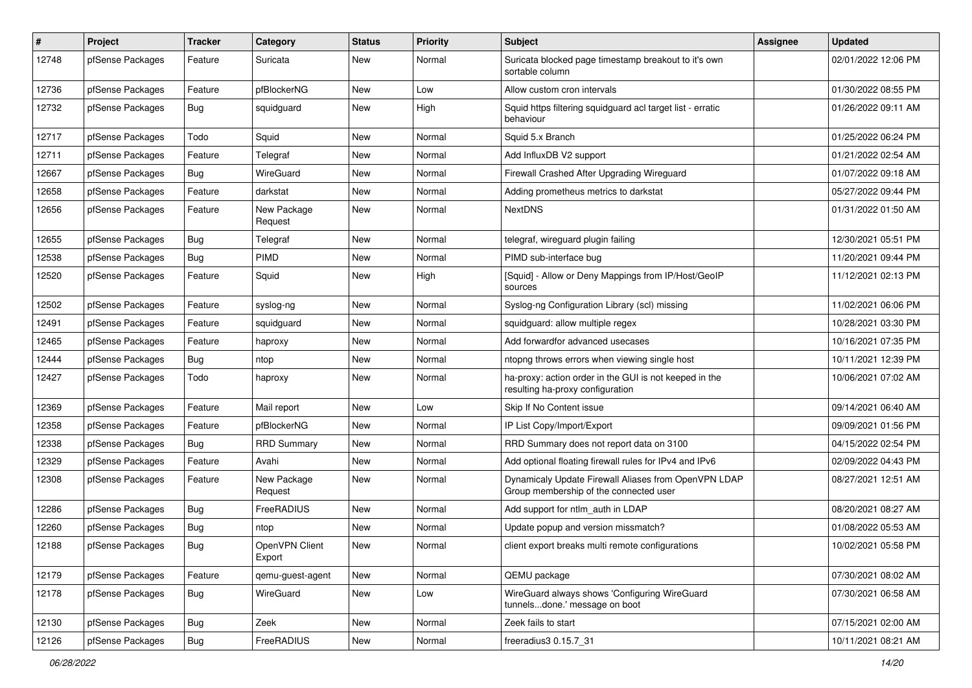| #     | Project          | Tracker    | Category                 | <b>Status</b> | <b>Priority</b> | <b>Subject</b>                                                                                 | Assignee | <b>Updated</b>      |
|-------|------------------|------------|--------------------------|---------------|-----------------|------------------------------------------------------------------------------------------------|----------|---------------------|
| 12748 | pfSense Packages | Feature    | Suricata                 | New           | Normal          | Suricata blocked page timestamp breakout to it's own<br>sortable column                        |          | 02/01/2022 12:06 PM |
| 12736 | pfSense Packages | Feature    | pfBlockerNG              | New           | Low             | Allow custom cron intervals                                                                    |          | 01/30/2022 08:55 PM |
| 12732 | pfSense Packages | Bug        | squidguard               | New           | High            | Squid https filtering squidguard acl target list - erratic<br>behaviour                        |          | 01/26/2022 09:11 AM |
| 12717 | pfSense Packages | Todo       | Squid                    | New           | Normal          | Squid 5.x Branch                                                                               |          | 01/25/2022 06:24 PM |
| 12711 | pfSense Packages | Feature    | Telegraf                 | New           | Normal          | Add InfluxDB V2 support                                                                        |          | 01/21/2022 02:54 AM |
| 12667 | pfSense Packages | <b>Bug</b> | WireGuard                | New           | Normal          | Firewall Crashed After Upgrading Wireguard                                                     |          | 01/07/2022 09:18 AM |
| 12658 | pfSense Packages | Feature    | darkstat                 | <b>New</b>    | Normal          | Adding prometheus metrics to darkstat                                                          |          | 05/27/2022 09:44 PM |
| 12656 | pfSense Packages | Feature    | New Package<br>Request   | <b>New</b>    | Normal          | <b>NextDNS</b>                                                                                 |          | 01/31/2022 01:50 AM |
| 12655 | pfSense Packages | Bug        | Telegraf                 | New           | Normal          | telegraf, wireguard plugin failing                                                             |          | 12/30/2021 05:51 PM |
| 12538 | pfSense Packages | Bug        | PIMD                     | <b>New</b>    | Normal          | PIMD sub-interface bug                                                                         |          | 11/20/2021 09:44 PM |
| 12520 | pfSense Packages | Feature    | Squid                    | New           | High            | [Squid] - Allow or Deny Mappings from IP/Host/GeoIP<br>sources                                 |          | 11/12/2021 02:13 PM |
| 12502 | pfSense Packages | Feature    | syslog-ng                | <b>New</b>    | Normal          | Syslog-ng Configuration Library (scl) missing                                                  |          | 11/02/2021 06:06 PM |
| 12491 | pfSense Packages | Feature    | squidguard               | <b>New</b>    | Normal          | squidguard: allow multiple regex                                                               |          | 10/28/2021 03:30 PM |
| 12465 | pfSense Packages | Feature    | haproxy                  | New           | Normal          | Add forwardfor advanced usecases                                                               |          | 10/16/2021 07:35 PM |
| 12444 | pfSense Packages | <b>Bug</b> | ntop                     | New           | Normal          | ntopng throws errors when viewing single host                                                  |          | 10/11/2021 12:39 PM |
| 12427 | pfSense Packages | Todo       | haproxy                  | New           | Normal          | ha-proxy: action order in the GUI is not keeped in the<br>resulting ha-proxy configuration     |          | 10/06/2021 07:02 AM |
| 12369 | pfSense Packages | Feature    | Mail report              | New           | Low             | Skip If No Content issue                                                                       |          | 09/14/2021 06:40 AM |
| 12358 | pfSense Packages | Feature    | pfBlockerNG              | <b>New</b>    | Normal          | IP List Copy/Import/Export                                                                     |          | 09/09/2021 01:56 PM |
| 12338 | pfSense Packages | <b>Bug</b> | <b>RRD Summary</b>       | New           | Normal          | RRD Summary does not report data on 3100                                                       |          | 04/15/2022 02:54 PM |
| 12329 | pfSense Packages | Feature    | Avahi                    | New           | Normal          | Add optional floating firewall rules for IPv4 and IPv6                                         |          | 02/09/2022 04:43 PM |
| 12308 | pfSense Packages | Feature    | New Package<br>Request   | <b>New</b>    | Normal          | Dynamicaly Update Firewall Aliases from OpenVPN LDAP<br>Group membership of the connected user |          | 08/27/2021 12:51 AM |
| 12286 | pfSense Packages | Bug        | FreeRADIUS               | New           | Normal          | Add support for ntlm auth in LDAP                                                              |          | 08/20/2021 08:27 AM |
| 12260 | pfSense Packages | Bug        | ntop                     | <b>New</b>    | Normal          | Update popup and version missmatch?                                                            |          | 01/08/2022 05:53 AM |
| 12188 | pfSense Packages | Bug        | OpenVPN Client<br>Export | <b>New</b>    | Normal          | client export breaks multi remote configurations                                               |          | 10/02/2021 05:58 PM |
| 12179 | pfSense Packages | Feature    | qemu-guest-agent         | New           | Normal          | QEMU package                                                                                   |          | 07/30/2021 08:02 AM |
| 12178 | pfSense Packages | Bug        | WireGuard                | New           | Low             | WireGuard always shows 'Configuring WireGuard<br>tunnelsdone.' message on boot                 |          | 07/30/2021 06:58 AM |
| 12130 | pfSense Packages | <b>Bug</b> | Zeek                     | New           | Normal          | Zeek fails to start                                                                            |          | 07/15/2021 02:00 AM |
| 12126 | pfSense Packages | <b>Bug</b> | FreeRADIUS               | New           | Normal          | freeradius3 0.15.7 31                                                                          |          | 10/11/2021 08:21 AM |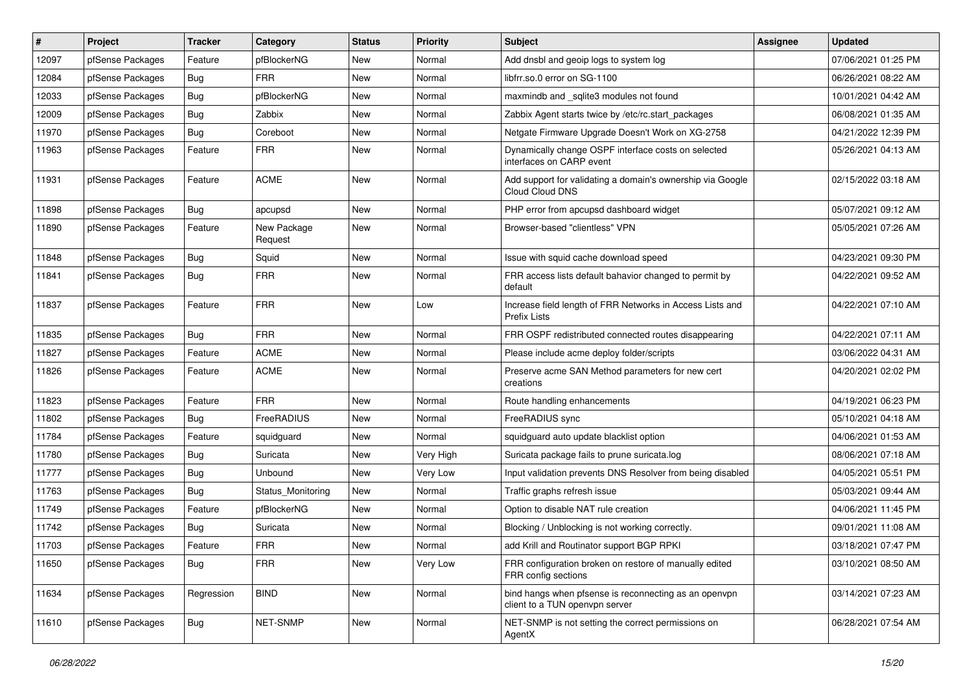| $\sharp$ | Project          | <b>Tracker</b> | Category               | <b>Status</b> | <b>Priority</b> | <b>Subject</b>                                                                          | Assignee | <b>Updated</b>      |
|----------|------------------|----------------|------------------------|---------------|-----------------|-----------------------------------------------------------------------------------------|----------|---------------------|
| 12097    | pfSense Packages | Feature        | pfBlockerNG            | New           | Normal          | Add dnsbl and geoip logs to system log                                                  |          | 07/06/2021 01:25 PM |
| 12084    | pfSense Packages | <b>Bug</b>     | <b>FRR</b>             | New           | Normal          | libfrr.so.0 error on SG-1100                                                            |          | 06/26/2021 08:22 AM |
| 12033    | pfSense Packages | <b>Bug</b>     | pfBlockerNG            | New           | Normal          | maxmindb and sqlite3 modules not found                                                  |          | 10/01/2021 04:42 AM |
| 12009    | pfSense Packages | Bug            | Zabbix                 | New           | Normal          | Zabbix Agent starts twice by /etc/rc.start_packages                                     |          | 06/08/2021 01:35 AM |
| 11970    | pfSense Packages | <b>Bug</b>     | Coreboot               | New           | Normal          | Netgate Firmware Upgrade Doesn't Work on XG-2758                                        |          | 04/21/2022 12:39 PM |
| 11963    | pfSense Packages | Feature        | <b>FRR</b>             | New           | Normal          | Dynamically change OSPF interface costs on selected<br>interfaces on CARP event         |          | 05/26/2021 04:13 AM |
| 11931    | pfSense Packages | Feature        | <b>ACME</b>            | New           | Normal          | Add support for validating a domain's ownership via Google<br>Cloud Cloud DNS           |          | 02/15/2022 03:18 AM |
| 11898    | pfSense Packages | <b>Bug</b>     | apcupsd                | New           | Normal          | PHP error from apcupsd dashboard widget                                                 |          | 05/07/2021 09:12 AM |
| 11890    | pfSense Packages | Feature        | New Package<br>Request | New           | Normal          | Browser-based "clientless" VPN                                                          |          | 05/05/2021 07:26 AM |
| 11848    | pfSense Packages | Bug            | Squid                  | New           | Normal          | Issue with squid cache download speed                                                   |          | 04/23/2021 09:30 PM |
| 11841    | pfSense Packages | <b>Bug</b>     | <b>FRR</b>             | New           | Normal          | FRR access lists default bahavior changed to permit by<br>default                       |          | 04/22/2021 09:52 AM |
| 11837    | pfSense Packages | Feature        | <b>FRR</b>             | New           | Low             | Increase field length of FRR Networks in Access Lists and<br>Prefix Lists               |          | 04/22/2021 07:10 AM |
| 11835    | pfSense Packages | Bug            | <b>FRR</b>             | New           | Normal          | FRR OSPF redistributed connected routes disappearing                                    |          | 04/22/2021 07:11 AM |
| 11827    | pfSense Packages | Feature        | <b>ACME</b>            | <b>New</b>    | Normal          | Please include acme deploy folder/scripts                                               |          | 03/06/2022 04:31 AM |
| 11826    | pfSense Packages | Feature        | <b>ACME</b>            | New           | Normal          | Preserve acme SAN Method parameters for new cert<br>creations                           |          | 04/20/2021 02:02 PM |
| 11823    | pfSense Packages | Feature        | <b>FRR</b>             | New           | Normal          | Route handling enhancements                                                             |          | 04/19/2021 06:23 PM |
| 11802    | pfSense Packages | Bug            | FreeRADIUS             | New           | Normal          | FreeRADIUS sync                                                                         |          | 05/10/2021 04:18 AM |
| 11784    | pfSense Packages | Feature        | squidguard             | New           | Normal          | squidguard auto update blacklist option                                                 |          | 04/06/2021 01:53 AM |
| 11780    | pfSense Packages | Bug            | Suricata               | New           | Very High       | Suricata package fails to prune suricata.log                                            |          | 08/06/2021 07:18 AM |
| 11777    | pfSense Packages | Bug            | Unbound                | <b>New</b>    | Very Low        | Input validation prevents DNS Resolver from being disabled                              |          | 04/05/2021 05:51 PM |
| 11763    | pfSense Packages | Bug            | Status Monitoring      | New           | Normal          | Traffic graphs refresh issue                                                            |          | 05/03/2021 09:44 AM |
| 11749    | pfSense Packages | Feature        | pfBlockerNG            | New           | Normal          | Option to disable NAT rule creation                                                     |          | 04/06/2021 11:45 PM |
| 11742    | pfSense Packages | Bug            | Suricata               | New           | Normal          | Blocking / Unblocking is not working correctly.                                         |          | 09/01/2021 11:08 AM |
| 11703    | pfSense Packages | Feature        | <b>FRR</b>             | New           | Normal          | add Krill and Routinator support BGP RPKI                                               |          | 03/18/2021 07:47 PM |
| 11650    | pfSense Packages | <b>Bug</b>     | <b>FRR</b>             | New           | Very Low        | FRR configuration broken on restore of manually edited<br>FRR config sections           |          | 03/10/2021 08:50 AM |
| 11634    | pfSense Packages | Regression     | <b>BIND</b>            | New           | Normal          | bind hangs when pfsense is reconnecting as an openvpn<br>client to a TUN openvpn server |          | 03/14/2021 07:23 AM |
| 11610    | pfSense Packages | <b>Bug</b>     | NET-SNMP               | New           | Normal          | NET-SNMP is not setting the correct permissions on<br>AgentX                            |          | 06/28/2021 07:54 AM |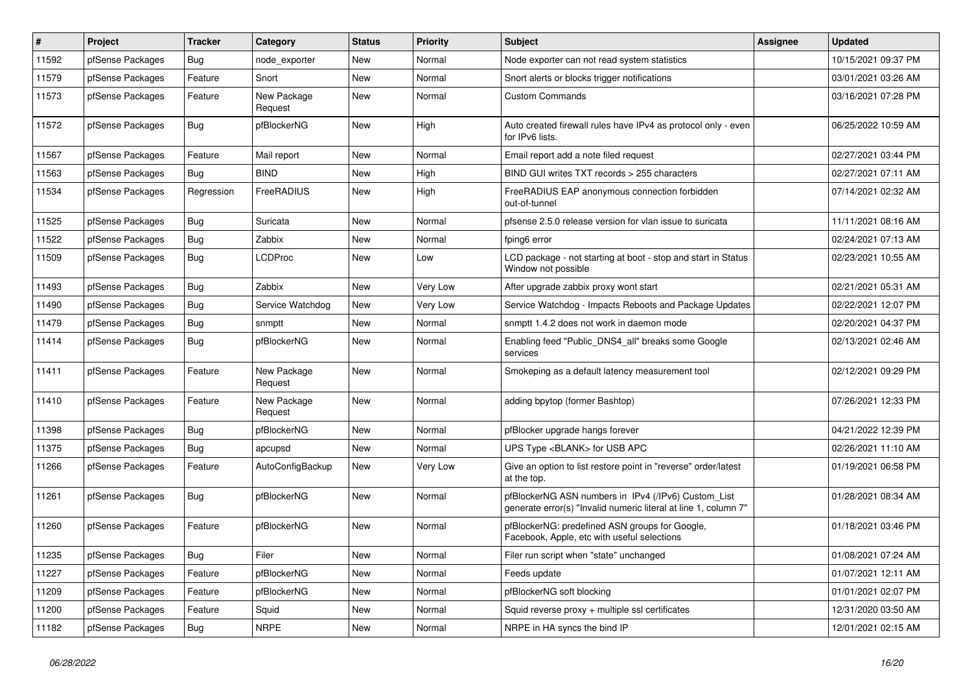| $\vert$ # | <b>Project</b>   | <b>Tracker</b> | Category               | <b>Status</b> | <b>Priority</b> | <b>Subject</b>                                                                                                         | Assignee | <b>Updated</b>      |
|-----------|------------------|----------------|------------------------|---------------|-----------------|------------------------------------------------------------------------------------------------------------------------|----------|---------------------|
| 11592     | pfSense Packages | <b>Bug</b>     | node exporter          | New           | Normal          | Node exporter can not read system statistics                                                                           |          | 10/15/2021 09:37 PM |
| 11579     | pfSense Packages | Feature        | Snort                  | <b>New</b>    | Normal          | Snort alerts or blocks trigger notifications                                                                           |          | 03/01/2021 03:26 AM |
| 11573     | pfSense Packages | Feature        | New Package<br>Request | <b>New</b>    | Normal          | <b>Custom Commands</b>                                                                                                 |          | 03/16/2021 07:28 PM |
| 11572     | pfSense Packages | <b>Bug</b>     | pfBlockerNG            | <b>New</b>    | High            | Auto created firewall rules have IPv4 as protocol only - even<br>for IPv6 lists.                                       |          | 06/25/2022 10:59 AM |
| 11567     | pfSense Packages | Feature        | Mail report            | <b>New</b>    | Normal          | Email report add a note filed request                                                                                  |          | 02/27/2021 03:44 PM |
| 11563     | pfSense Packages | Bug            | <b>BIND</b>            | <b>New</b>    | High            | BIND GUI writes TXT records > 255 characters                                                                           |          | 02/27/2021 07:11 AM |
| 11534     | pfSense Packages | Regression     | FreeRADIUS             | <b>New</b>    | High            | FreeRADIUS EAP anonymous connection forbidden<br>out-of-tunnel                                                         |          | 07/14/2021 02:32 AM |
| 11525     | pfSense Packages | <b>Bug</b>     | Suricata               | New           | Normal          | pfsense 2.5.0 release version for vlan issue to suricata                                                               |          | 11/11/2021 08:16 AM |
| 11522     | pfSense Packages | <b>Bug</b>     | Zabbix                 | New           | Normal          | fping6 error                                                                                                           |          | 02/24/2021 07:13 AM |
| 11509     | pfSense Packages | <b>Bug</b>     | <b>LCDProc</b>         | New           | Low             | LCD package - not starting at boot - stop and start in Status<br>Window not possible                                   |          | 02/23/2021 10:55 AM |
| 11493     | pfSense Packages | Bug            | Zabbix                 | <b>New</b>    | Very Low        | After upgrade zabbix proxy wont start                                                                                  |          | 02/21/2021 05:31 AM |
| 11490     | pfSense Packages | <b>Bug</b>     | Service Watchdog       | <b>New</b>    | Very Low        | Service Watchdog - Impacts Reboots and Package Updates                                                                 |          | 02/22/2021 12:07 PM |
| 11479     | pfSense Packages | <b>Bug</b>     | snmptt                 | New           | Normal          | snmptt 1.4.2 does not work in daemon mode                                                                              |          | 02/20/2021 04:37 PM |
| 11414     | pfSense Packages | Bug            | pfBlockerNG            | New           | Normal          | Enabling feed "Public_DNS4_all" breaks some Google<br>services                                                         |          | 02/13/2021 02:46 AM |
| 11411     | pfSense Packages | Feature        | New Package<br>Request | <b>New</b>    | Normal          | Smokeping as a default latency measurement tool                                                                        |          | 02/12/2021 09:29 PM |
| 11410     | pfSense Packages | Feature        | New Package<br>Request | <b>New</b>    | Normal          | adding bpytop (former Bashtop)                                                                                         |          | 07/26/2021 12:33 PM |
| 11398     | pfSense Packages | <b>Bug</b>     | pfBlockerNG            | <b>New</b>    | Normal          | pfBlocker upgrade hangs forever                                                                                        |          | 04/21/2022 12:39 PM |
| 11375     | pfSense Packages | <b>Bug</b>     | apcupsd                | <b>New</b>    | Normal          | UPS Type <blank> for USB APC</blank>                                                                                   |          | 02/26/2021 11:10 AM |
| 11266     | pfSense Packages | Feature        | AutoConfigBackup       | <b>New</b>    | Very Low        | Give an option to list restore point in "reverse" order/latest<br>at the top.                                          |          | 01/19/2021 06:58 PM |
| 11261     | pfSense Packages | Bug            | pfBlockerNG            | New           | Normal          | pfBlockerNG ASN numbers in IPv4 (/IPv6) Custom_List<br>generate error(s) "Invalid numeric literal at line 1, column 7" |          | 01/28/2021 08:34 AM |
| 11260     | pfSense Packages | Feature        | pfBlockerNG            | <b>New</b>    | Normal          | pfBlockerNG: predefined ASN groups for Google,<br>Facebook, Apple, etc with useful selections                          |          | 01/18/2021 03:46 PM |
| 11235     | pfSense Packages | Bug            | Filer                  | <b>New</b>    | Normal          | Filer run script when "state" unchanged                                                                                |          | 01/08/2021 07:24 AM |
| 11227     | pfSense Packages | Feature        | pfBlockerNG            | New           | Normal          | Feeds update                                                                                                           |          | 01/07/2021 12:11 AM |
| 11209     | pfSense Packages | Feature        | pfBlockerNG            | New           | Normal          | pfBlockerNG soft blocking                                                                                              |          | 01/01/2021 02:07 PM |
| 11200     | pfSense Packages | Feature        | Squid                  | <b>New</b>    | Normal          | Squid reverse proxy + multiple ssl certificates                                                                        |          | 12/31/2020 03:50 AM |
| 11182     | pfSense Packages | Bug            | <b>NRPE</b>            | <b>New</b>    | Normal          | NRPE in HA syncs the bind IP                                                                                           |          | 12/01/2021 02:15 AM |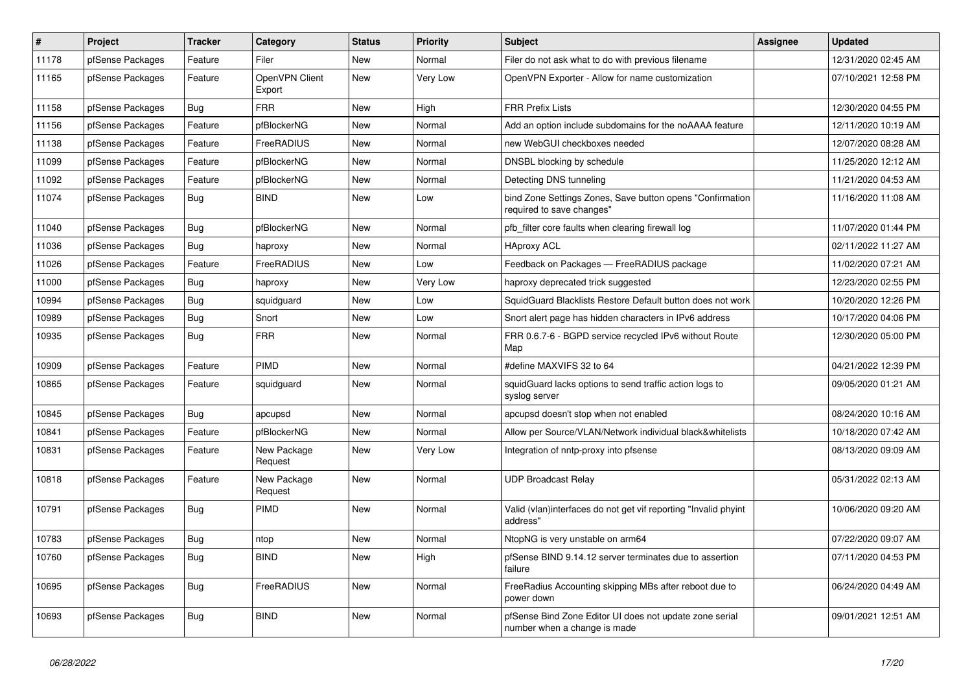| $\pmb{\#}$ | Project          | <b>Tracker</b> | Category                 | <b>Status</b> | Priority | <b>Subject</b>                                                                          | <b>Assignee</b> | <b>Updated</b>      |
|------------|------------------|----------------|--------------------------|---------------|----------|-----------------------------------------------------------------------------------------|-----------------|---------------------|
| 11178      | pfSense Packages | Feature        | Filer                    | <b>New</b>    | Normal   | Filer do not ask what to do with previous filename                                      |                 | 12/31/2020 02:45 AM |
| 11165      | pfSense Packages | Feature        | OpenVPN Client<br>Export | <b>New</b>    | Very Low | OpenVPN Exporter - Allow for name customization                                         |                 | 07/10/2021 12:58 PM |
| 11158      | pfSense Packages | Bug            | <b>FRR</b>               | New           | High     | <b>FRR Prefix Lists</b>                                                                 |                 | 12/30/2020 04:55 PM |
| 11156      | pfSense Packages | Feature        | pfBlockerNG              | New           | Normal   | Add an option include subdomains for the noAAAA feature                                 |                 | 12/11/2020 10:19 AM |
| 11138      | pfSense Packages | Feature        | FreeRADIUS               | New           | Normal   | new WebGUI checkboxes needed                                                            |                 | 12/07/2020 08:28 AM |
| 11099      | pfSense Packages | Feature        | pfBlockerNG              | New           | Normal   | DNSBL blocking by schedule                                                              |                 | 11/25/2020 12:12 AM |
| 11092      | pfSense Packages | Feature        | pfBlockerNG              | New           | Normal   | Detecting DNS tunneling                                                                 |                 | 11/21/2020 04:53 AM |
| 11074      | pfSense Packages | <b>Bug</b>     | <b>BIND</b>              | New           | Low      | bind Zone Settings Zones, Save button opens "Confirmation<br>required to save changes"  |                 | 11/16/2020 11:08 AM |
| 11040      | pfSense Packages | Bug            | pfBlockerNG              | New           | Normal   | pfb filter core faults when clearing firewall log                                       |                 | 11/07/2020 01:44 PM |
| 11036      | pfSense Packages | <b>Bug</b>     | haproxy                  | <b>New</b>    | Normal   | <b>HAproxy ACL</b>                                                                      |                 | 02/11/2022 11:27 AM |
| 11026      | pfSense Packages | Feature        | FreeRADIUS               | <b>New</b>    | Low      | Feedback on Packages - FreeRADIUS package                                               |                 | 11/02/2020 07:21 AM |
| 11000      | pfSense Packages | <b>Bug</b>     | haproxy                  | New           | Very Low | haproxy deprecated trick suggested                                                      |                 | 12/23/2020 02:55 PM |
| 10994      | pfSense Packages | Bug            | squidguard               | <b>New</b>    | Low      | SquidGuard Blacklists Restore Default button does not work                              |                 | 10/20/2020 12:26 PM |
| 10989      | pfSense Packages | <b>Bug</b>     | Snort                    | <b>New</b>    | Low      | Snort alert page has hidden characters in IPv6 address                                  |                 | 10/17/2020 04:06 PM |
| 10935      | pfSense Packages | Bug            | <b>FRR</b>               | New           | Normal   | FRR 0.6.7-6 - BGPD service recycled IPv6 without Route<br>Map                           |                 | 12/30/2020 05:00 PM |
| 10909      | pfSense Packages | Feature        | PIMD                     | New           | Normal   | #define MAXVIFS 32 to 64                                                                |                 | 04/21/2022 12:39 PM |
| 10865      | pfSense Packages | Feature        | squidguard               | New           | Normal   | squidGuard lacks options to send traffic action logs to<br>syslog server                |                 | 09/05/2020 01:21 AM |
| 10845      | pfSense Packages | Bug            | apcupsd                  | New           | Normal   | apcupsd doesn't stop when not enabled                                                   |                 | 08/24/2020 10:16 AM |
| 10841      | pfSense Packages | Feature        | pfBlockerNG              | New           | Normal   | Allow per Source/VLAN/Network individual black&whitelists                               |                 | 10/18/2020 07:42 AM |
| 10831      | pfSense Packages | Feature        | New Package<br>Request   | New           | Very Low | Integration of nntp-proxy into pfsense                                                  |                 | 08/13/2020 09:09 AM |
| 10818      | pfSense Packages | Feature        | New Package<br>Request   | <b>New</b>    | Normal   | <b>UDP Broadcast Relay</b>                                                              |                 | 05/31/2022 02:13 AM |
| 10791      | pfSense Packages | <b>Bug</b>     | PIMD                     | New           | Normal   | Valid (vlan)interfaces do not get vif reporting "Invalid phyint<br>address"             |                 | 10/06/2020 09:20 AM |
| 10783      | pfSense Packages | <b>Bug</b>     | ntop                     | <b>New</b>    | Normal   | NtopNG is very unstable on arm64                                                        |                 | 07/22/2020 09:07 AM |
| 10760      | pfSense Packages | <b>Bug</b>     | <b>BIND</b>              | New           | High     | pfSense BIND 9.14.12 server terminates due to assertion<br>failure                      |                 | 07/11/2020 04:53 PM |
| 10695      | pfSense Packages | <b>Bug</b>     | FreeRADIUS               | <b>New</b>    | Normal   | FreeRadius Accounting skipping MBs after reboot due to<br>power down                    |                 | 06/24/2020 04:49 AM |
| 10693      | pfSense Packages | Bug            | <b>BIND</b>              | New           | Normal   | pfSense Bind Zone Editor UI does not update zone serial<br>number when a change is made |                 | 09/01/2021 12:51 AM |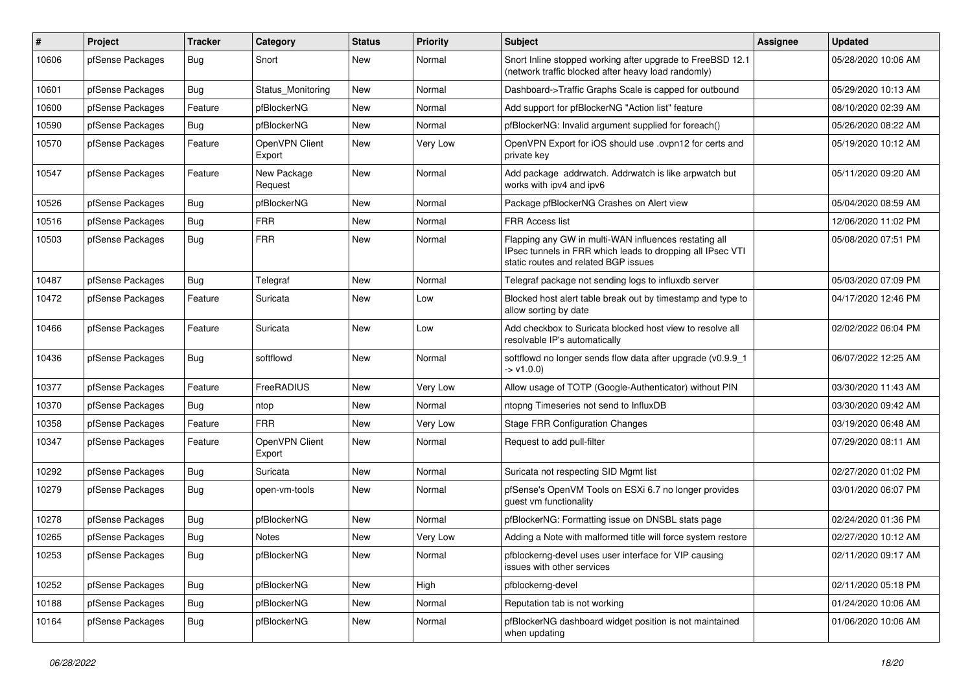| #     | Project          | <b>Tracker</b> | Category                 | <b>Status</b> | <b>Priority</b> | <b>Subject</b>                                                                                                                                              | <b>Assignee</b> | <b>Updated</b>      |
|-------|------------------|----------------|--------------------------|---------------|-----------------|-------------------------------------------------------------------------------------------------------------------------------------------------------------|-----------------|---------------------|
| 10606 | pfSense Packages | <b>Bug</b>     | Snort                    | New           | Normal          | Snort Inline stopped working after upgrade to FreeBSD 12.1<br>(network traffic blocked after heavy load randomly)                                           |                 | 05/28/2020 10:06 AM |
| 10601 | pfSense Packages | <b>Bug</b>     | Status Monitoring        | New           | Normal          | Dashboard->Traffic Graphs Scale is capped for outbound                                                                                                      |                 | 05/29/2020 10:13 AM |
| 10600 | pfSense Packages | Feature        | pfBlockerNG              | New           | Normal          | Add support for pfBlockerNG "Action list" feature                                                                                                           |                 | 08/10/2020 02:39 AM |
| 10590 | pfSense Packages | Bug            | pfBlockerNG              | <b>New</b>    | Normal          | pfBlockerNG: Invalid argument supplied for foreach()                                                                                                        |                 | 05/26/2020 08:22 AM |
| 10570 | pfSense Packages | Feature        | OpenVPN Client<br>Export | New           | Very Low        | OpenVPN Export for iOS should use .ovpn12 for certs and<br>private key                                                                                      |                 | 05/19/2020 10:12 AM |
| 10547 | pfSense Packages | Feature        | New Package<br>Request   | New           | Normal          | Add package addrwatch. Addrwatch is like arpwatch but<br>works with ipv4 and ipv6                                                                           |                 | 05/11/2020 09:20 AM |
| 10526 | pfSense Packages | Bug            | pfBlockerNG              | <b>New</b>    | Normal          | Package pfBlockerNG Crashes on Alert view                                                                                                                   |                 | 05/04/2020 08:59 AM |
| 10516 | pfSense Packages | <b>Bug</b>     | <b>FRR</b>               | New           | Normal          | FRR Access list                                                                                                                                             |                 | 12/06/2020 11:02 PM |
| 10503 | pfSense Packages | Bug            | <b>FRR</b>               | New           | Normal          | Flapping any GW in multi-WAN influences restating all<br>IPsec tunnels in FRR which leads to dropping all IPsec VTI<br>static routes and related BGP issues |                 | 05/08/2020 07:51 PM |
| 10487 | pfSense Packages | Bug            | Telegraf                 | New           | Normal          | Telegraf package not sending logs to influxdb server                                                                                                        |                 | 05/03/2020 07:09 PM |
| 10472 | pfSense Packages | Feature        | Suricata                 | New           | Low             | Blocked host alert table break out by timestamp and type to<br>allow sorting by date                                                                        |                 | 04/17/2020 12:46 PM |
| 10466 | pfSense Packages | Feature        | Suricata                 | <b>New</b>    | Low             | Add checkbox to Suricata blocked host view to resolve all<br>resolvable IP's automatically                                                                  |                 | 02/02/2022 06:04 PM |
| 10436 | pfSense Packages | <b>Bug</b>     | softflowd                | New           | Normal          | softflowd no longer sends flow data after upgrade (v0.9.9_1<br>$\rightarrow$ v1.0.0)                                                                        |                 | 06/07/2022 12:25 AM |
| 10377 | pfSense Packages | Feature        | FreeRADIUS               | New           | Very Low        | Allow usage of TOTP (Google-Authenticator) without PIN                                                                                                      |                 | 03/30/2020 11:43 AM |
| 10370 | pfSense Packages | <b>Bug</b>     | ntop                     | New           | Normal          | ntopng Timeseries not send to InfluxDB                                                                                                                      |                 | 03/30/2020 09:42 AM |
| 10358 | pfSense Packages | Feature        | <b>FRR</b>               | <b>New</b>    | Very Low        | <b>Stage FRR Configuration Changes</b>                                                                                                                      |                 | 03/19/2020 06:48 AM |
| 10347 | pfSense Packages | Feature        | OpenVPN Client<br>Export | New           | Normal          | Request to add pull-filter                                                                                                                                  |                 | 07/29/2020 08:11 AM |
| 10292 | pfSense Packages | Bug            | Suricata                 | New           | Normal          | Suricata not respecting SID Mgmt list                                                                                                                       |                 | 02/27/2020 01:02 PM |
| 10279 | pfSense Packages | Bug            | open-vm-tools            | New           | Normal          | pfSense's OpenVM Tools on ESXi 6.7 no longer provides<br>guest vm functionality                                                                             |                 | 03/01/2020 06:07 PM |
| 10278 | pfSense Packages | Bug            | pfBlockerNG              | New           | Normal          | pfBlockerNG: Formatting issue on DNSBL stats page                                                                                                           |                 | 02/24/2020 01:36 PM |
| 10265 | pfSense Packages | Bug            | Notes                    | New           | Very Low        | Adding a Note with malformed title will force system restore                                                                                                |                 | 02/27/2020 10:12 AM |
| 10253 | pfSense Packages | Bug            | pfBlockerNG              | New           | Normal          | pfblockerng-devel uses user interface for VIP causing<br>issues with other services                                                                         |                 | 02/11/2020 09:17 AM |
| 10252 | pfSense Packages | <b>Bug</b>     | pfBlockerNG              | New           | High            | pfblockerng-devel                                                                                                                                           |                 | 02/11/2020 05:18 PM |
| 10188 | pfSense Packages | Bug            | pfBlockerNG              | New           | Normal          | Reputation tab is not working                                                                                                                               |                 | 01/24/2020 10:06 AM |
| 10164 | pfSense Packages | Bug            | pfBlockerNG              | New           | Normal          | pfBlockerNG dashboard widget position is not maintained<br>when updating                                                                                    |                 | 01/06/2020 10:06 AM |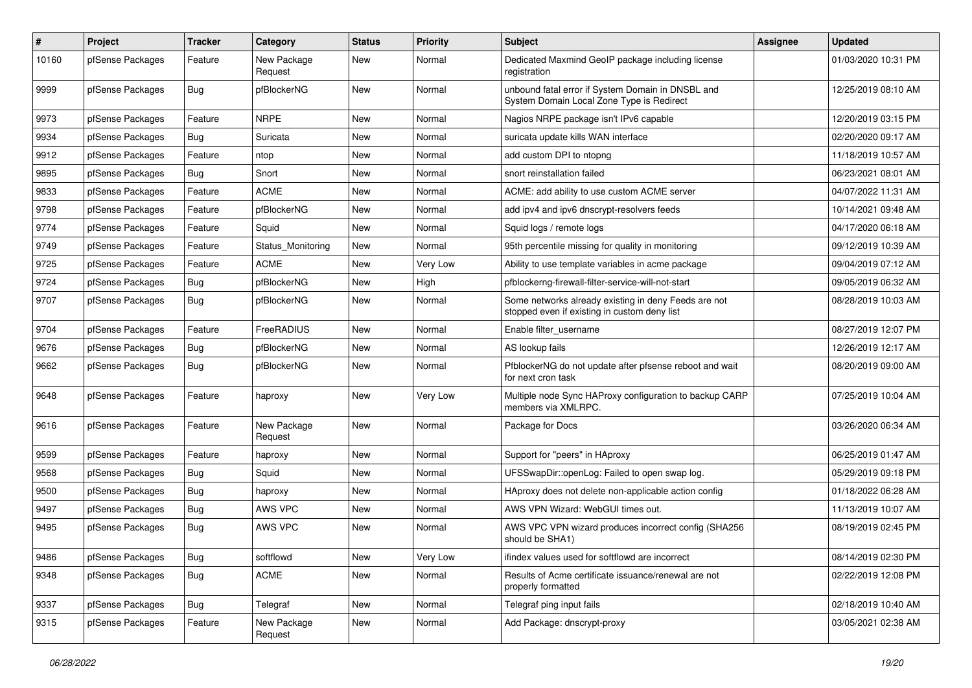| $\vert$ # | Project          | <b>Tracker</b> | Category               | <b>Status</b> | <b>Priority</b> | <b>Subject</b>                                                                                       | Assignee | <b>Updated</b>      |
|-----------|------------------|----------------|------------------------|---------------|-----------------|------------------------------------------------------------------------------------------------------|----------|---------------------|
| 10160     | pfSense Packages | Feature        | New Package<br>Request | New           | Normal          | Dedicated Maxmind GeoIP package including license<br>registration                                    |          | 01/03/2020 10:31 PM |
| 9999      | pfSense Packages | Bug            | pfBlockerNG            | New           | Normal          | unbound fatal error if System Domain in DNSBL and<br>System Domain Local Zone Type is Redirect       |          | 12/25/2019 08:10 AM |
| 9973      | pfSense Packages | Feature        | <b>NRPE</b>            | <b>New</b>    | Normal          | Nagios NRPE package isn't IPv6 capable                                                               |          | 12/20/2019 03:15 PM |
| 9934      | pfSense Packages | Bug            | Suricata               | New           | Normal          | suricata update kills WAN interface                                                                  |          | 02/20/2020 09:17 AM |
| 9912      | pfSense Packages | Feature        | ntop                   | New           | Normal          | add custom DPI to ntopng                                                                             |          | 11/18/2019 10:57 AM |
| 9895      | pfSense Packages | Bug            | Snort                  | New           | Normal          | snort reinstallation failed                                                                          |          | 06/23/2021 08:01 AM |
| 9833      | pfSense Packages | Feature        | <b>ACME</b>            | New           | Normal          | ACME: add ability to use custom ACME server                                                          |          | 04/07/2022 11:31 AM |
| 9798      | pfSense Packages | Feature        | pfBlockerNG            | New           | Normal          | add ipv4 and ipv6 dnscrypt-resolvers feeds                                                           |          | 10/14/2021 09:48 AM |
| 9774      | pfSense Packages | Feature        | Squid                  | New           | Normal          | Squid logs / remote logs                                                                             |          | 04/17/2020 06:18 AM |
| 9749      | pfSense Packages | Feature        | Status Monitoring      | New           | Normal          | 95th percentile missing for quality in monitoring                                                    |          | 09/12/2019 10:39 AM |
| 9725      | pfSense Packages | Feature        | <b>ACME</b>            | <b>New</b>    | Very Low        | Ability to use template variables in acme package                                                    |          | 09/04/2019 07:12 AM |
| 9724      | pfSense Packages | Bug            | pfBlockerNG            | New           | High            | pfblockerng-firewall-filter-service-will-not-start                                                   |          | 09/05/2019 06:32 AM |
| 9707      | pfSense Packages | <b>Bug</b>     | pfBlockerNG            | New           | Normal          | Some networks already existing in deny Feeds are not<br>stopped even if existing in custom deny list |          | 08/28/2019 10:03 AM |
| 9704      | pfSense Packages | Feature        | FreeRADIUS             | <b>New</b>    | Normal          | Enable filter username                                                                               |          | 08/27/2019 12:07 PM |
| 9676      | pfSense Packages | Bug            | pfBlockerNG            | <b>New</b>    | Normal          | AS lookup fails                                                                                      |          | 12/26/2019 12:17 AM |
| 9662      | pfSense Packages | Bug            | pfBlockerNG            | New           | Normal          | PfblockerNG do not update after pfsense reboot and wait<br>for next cron task                        |          | 08/20/2019 09:00 AM |
| 9648      | pfSense Packages | Feature        | haproxy                | New           | Very Low        | Multiple node Sync HAProxy configuration to backup CARP<br>members via XMLRPC.                       |          | 07/25/2019 10:04 AM |
| 9616      | pfSense Packages | Feature        | New Package<br>Request | New           | Normal          | Package for Docs                                                                                     |          | 03/26/2020 06:34 AM |
| 9599      | pfSense Packages | Feature        | haproxy                | New           | Normal          | Support for "peers" in HAproxy                                                                       |          | 06/25/2019 01:47 AM |
| 9568      | pfSense Packages | Bug            | Squid                  | New           | Normal          | UFSSwapDir::openLog: Failed to open swap log.                                                        |          | 05/29/2019 09:18 PM |
| 9500      | pfSense Packages | Bug            | haproxy                | New           | Normal          | HAproxy does not delete non-applicable action config                                                 |          | 01/18/2022 06:28 AM |
| 9497      | pfSense Packages | Bug            | AWS VPC                | New           | Normal          | AWS VPN Wizard: WebGUI times out.                                                                    |          | 11/13/2019 10:07 AM |
| 9495      | pfSense Packages | Bug            | AWS VPC                | New           | Normal          | AWS VPC VPN wizard produces incorrect config (SHA256<br>should be SHA1)                              |          | 08/19/2019 02:45 PM |
| 9486      | pfSense Packages | <b>Bug</b>     | softflowd              | New           | Very Low        | ifindex values used for softflowd are incorrect                                                      |          | 08/14/2019 02:30 PM |
| 9348      | pfSense Packages | <b>Bug</b>     | <b>ACME</b>            | New           | Normal          | Results of Acme certificate issuance/renewal are not<br>properly formatted                           |          | 02/22/2019 12:08 PM |
| 9337      | pfSense Packages | Bug            | Telegraf               | <b>New</b>    | Normal          | Telegraf ping input fails                                                                            |          | 02/18/2019 10:40 AM |
| 9315      | pfSense Packages | Feature        | New Package<br>Request | New           | Normal          | Add Package: dnscrypt-proxy                                                                          |          | 03/05/2021 02:38 AM |